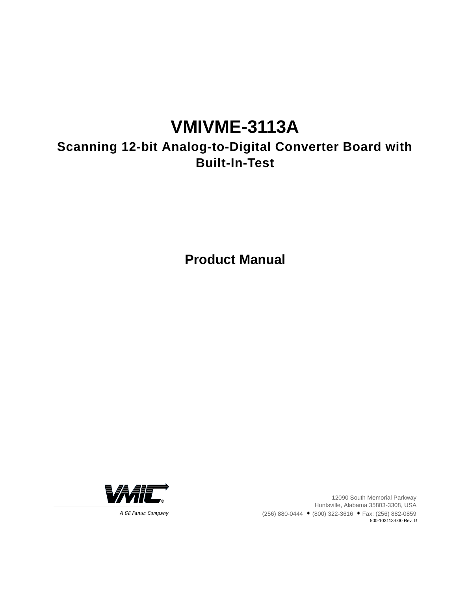## **VMIVME-3113A**

## **Scanning 12-bit Analog-to-Digital Converter Board with Built-In-Test**

**Product Manual**



12090 South Memorial Parkway Huntsville, Alabama 35803-3308, USA  $(256) 880 - 0444$  (800) 322-3616 + Fax: (256) 882-0859 500-103113-000 Rev. G

A GE Fanuc Company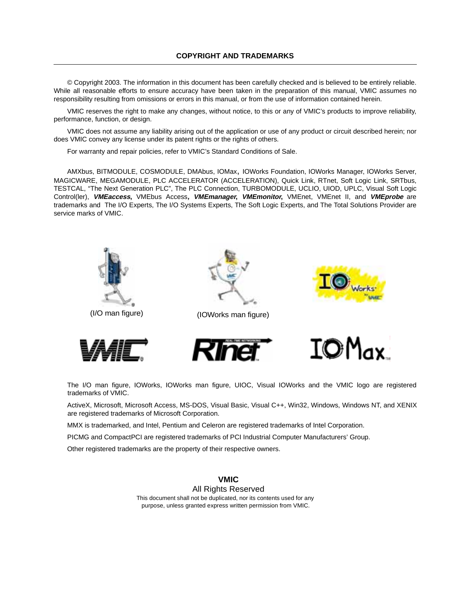© Copyright 2003. The information in this document has been carefully checked and is believed to be entirely reliable. While all reasonable efforts to ensure accuracy have been taken in the preparation of this manual, VMIC assumes no responsibility resulting from omissions or errors in this manual, or from the use of information contained herein.

VMIC reserves the right to make any changes, without notice, to this or any of VMIC's products to improve reliability, performance, function, or design.

VMIC does not assume any liability arising out of the application or use of any product or circuit described herein; nor does VMIC convey any license under its patent rights or the rights of others.

For warranty and repair policies, refer to VMIC's Standard Conditions of Sale.

AMXbus, BITMODULE, COSMODULE, DMAbus, IOMax, IOWorks Foundation, IOWorks Manager, IOWorks Server, MAGICWARE, MEGAMODULE, PLC ACCELERATOR (ACCELERATION), Quick Link, RTnet, Soft Logic Link, SRTbus, TESTCAL, "The Next Generation PLC", The PLC Connection, TURBOMODULE, UCLIO, UIOD, UPLC, Visual Soft Logic Control(ler), **VMEaccess,** VMEbus Access**, VMEmanager, VMEmonitor,** VMEnet, VMEnet II, and **VMEprobe** are trademarks and The I/O Experts, The I/O Systems Experts, The Soft Logic Experts, and The Total Solutions Provider are service marks of VMIC.





(I/O man figure) (IOWorks man figure)









The I/O man figure, IOWorks, IOWorks man figure, UIOC, Visual IOWorks and the VMIC logo are registered trademarks of VMIC.

ActiveX, Microsoft, Microsoft Access, MS-DOS, Visual Basic, Visual C++, Win32, Windows, Windows NT, and XENIX are registered trademarks of Microsoft Corporation.

MMX is trademarked, and Intel, Pentium and Celeron are registered trademarks of Intel Corporation.

PICMG and CompactPCI are registered trademarks of PCI Industrial Computer Manufacturers' Group.

Other registered trademarks are the property of their respective owners.

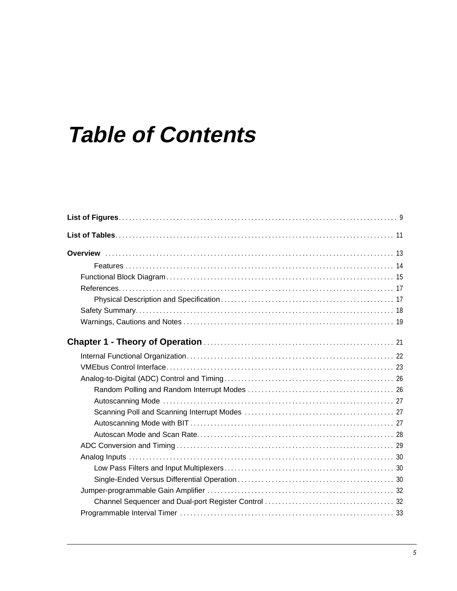# **Table of Contents**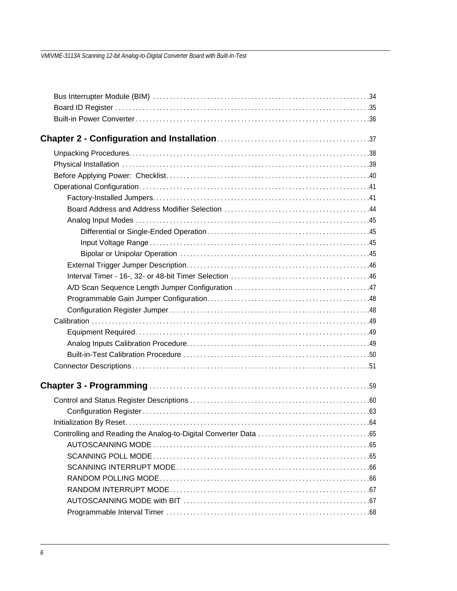*VMIVME-3113A Scanning 12-bit Analog-to-Digital Converter Board with Built-In-Test*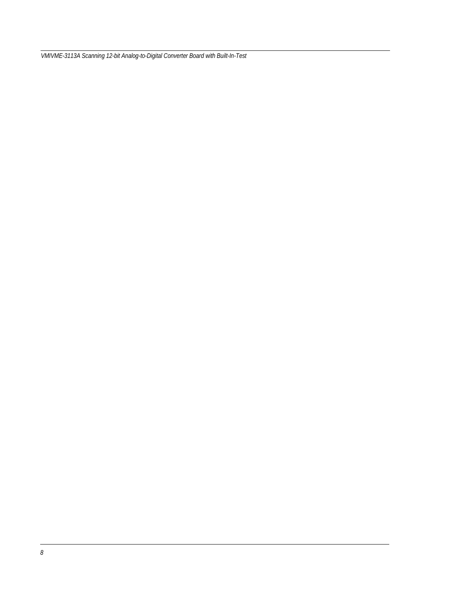*VMIVME-3113A Scanning 12-bit Analog-to-Digital Converter Board with Built-In-Test*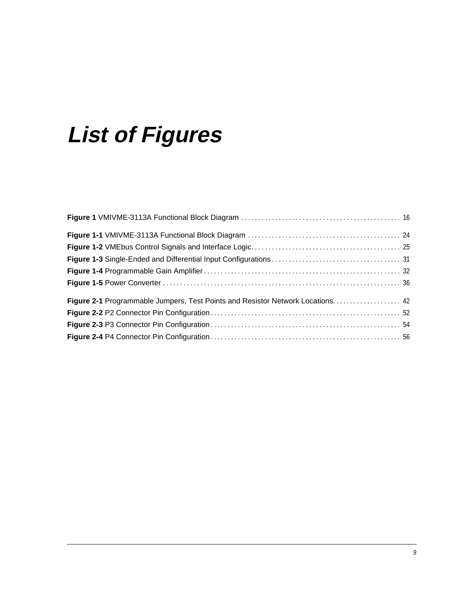# <span id="page-8-0"></span>**List of Figures**

| Figure 2-1 Programmable Jumpers, Test Points and Resistor Network Locations 42 |  |
|--------------------------------------------------------------------------------|--|
|                                                                                |  |
|                                                                                |  |
|                                                                                |  |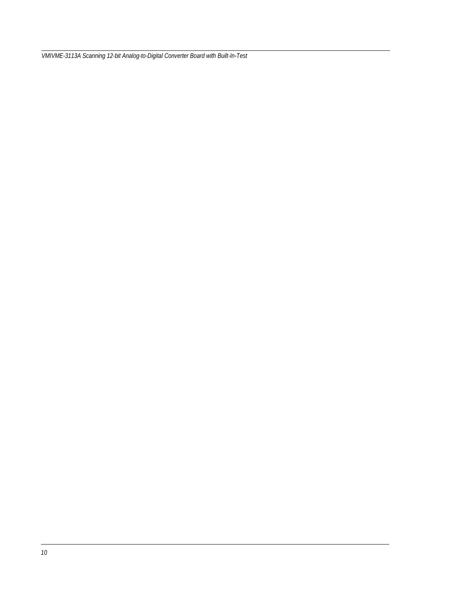*VMIVME-3113A Scanning 12-bit Analog-to-Digital Converter Board with Built-In-Test*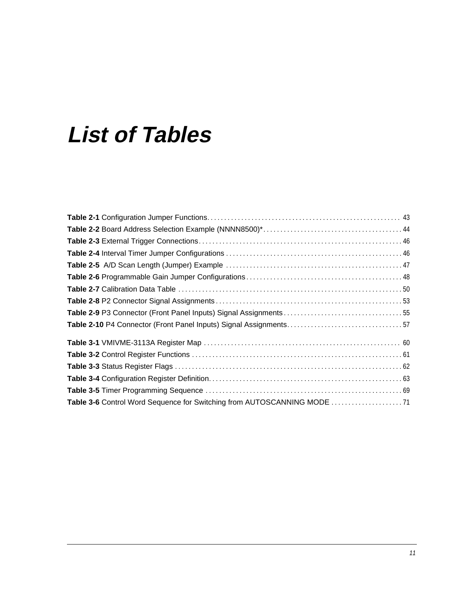# <span id="page-10-0"></span>**List of Tables**

| Table 3-6 Control Word Sequence for Switching from AUTOSCANNING MODE 71 |  |
|-------------------------------------------------------------------------|--|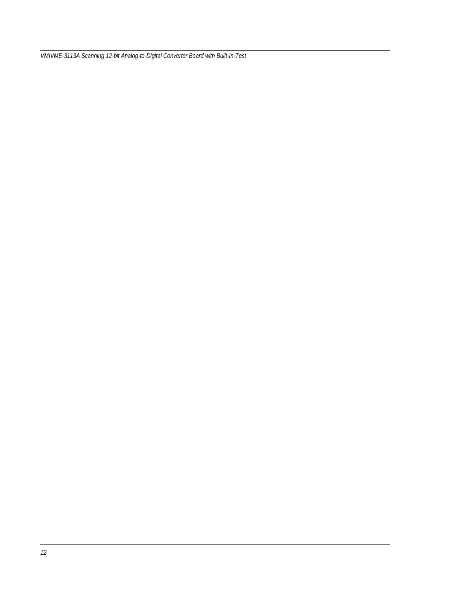*VMIVME-3113A Scanning 12-bit Analog-to-Digital Converter Board with Built-In-Test*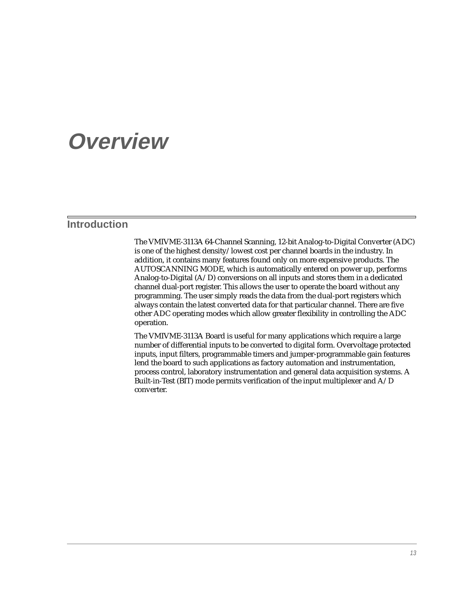## <span id="page-12-0"></span>**Overview**

## **Introduction**

The VMIVME-3113A 64-Channel Scanning, 12-bit Analog-to-Digital Converter (ADC) is one of the highest density/lowest cost per channel boards in the industry. In addition, it contains many features found only on more expensive products. The AUTOSCANNING MODE, which is automatically entered on power up, performs Analog-to-Digital (A/D) conversions on all inputs and stores them in a dedicated channel dual-port register. This allows the user to operate the board without any programming. The user simply reads the data from the dual-port registers which always contain the latest converted data for that particular channel. There are five other ADC operating modes which allow greater flexibility in controlling the ADC operation.

The VMIVME-3113A Board is useful for many applications which require a large number of differential inputs to be converted to digital form. Overvoltage protected inputs, input filters, programmable timers and jumper-programmable gain features lend the board to such applications as factory automation and instrumentation, process control, laboratory instrumentation and general data acquisition systems. A Built-in-Test (BIT) mode permits verification of the input multiplexer and A/D converter.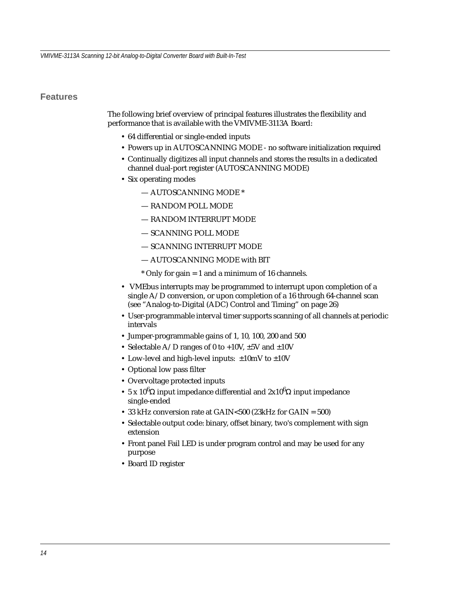#### <span id="page-13-0"></span>**Features**

The following brief overview of principal features illustrates the flexibility and performance that is available with the VMIVME-3113A Board:

- 64 differential or single-ended inputs
- Powers up in AUTOSCANNING MODE no software initialization required
- Continually digitizes all input channels and stores the results in a dedicated channel dual-port register (AUTOSCANNING MODE)
- Six operating modes
	- AUTOSCANNING MODE \*
	- RANDOM POLL MODE
	- RANDOM INTERRUPT MODE
	- SCANNING POLL MODE
	- SCANNING INTERRUPT MODE
	- AUTOSCANNING MODE with BIT
	- \* Only for gain = 1 and a minimum of 16 channels.
- VMEbus interrupts may be programmed to interrupt upon completion of a single A/D conversion, or upon completion of a 16 through 64-channel scan (see ["Analog-to-Digital \(ADC\) Control and Timing" on page 26\)](#page-25-2)
- User-programmable interval timer supports scanning of all channels at periodic intervals
- Jumper-programmable gains of 1, 10, 100, 200 and 500
- Selectable A/D ranges of 0 to +10V,  $\pm 5V$  and  $\pm 10V$
- Low-level and high-level inputs: ±10mV to ±10V
- Optional low pass filter
- Overvoltage protected inputs
- 5 x  $10^6\Omega$  input impedance differential and  $2x10^6\Omega$  input impedance single-ended
- 33 kHz conversion rate at GAIN<500 (23kHz for GAIN = 500)
- Selectable output code: binary, offset binary, two's complement with sign extension
- Front panel Fail LED is under program control and may be used for any purpose
- Board ID register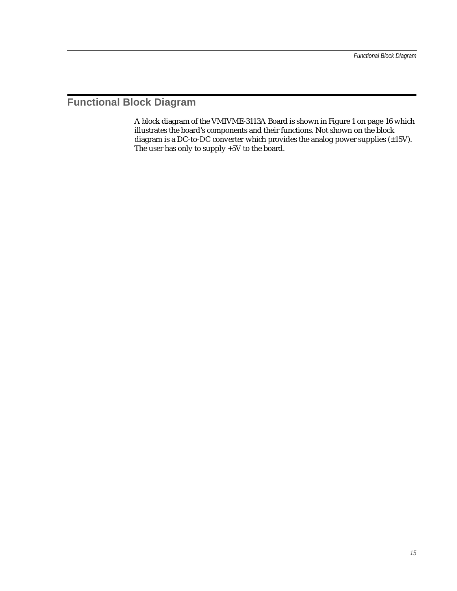## <span id="page-14-0"></span>**Functional Block Diagram**

A block diagram of the VMIVME-3113A Board is shown in [Figure 1 on page 16](#page-15-0) which illustrates the board's components and their functions. Not shown on the block diagram is a DC-to-DC converter which provides the analog power supplies  $(\pm 15V)$ . The user has only to supply +5V to the board.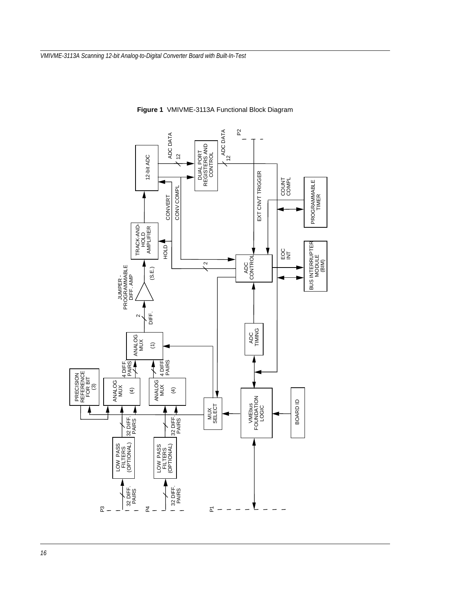*VMIVME-3113A Scanning 12-bit Analog-to-Digital Converter Board with Built-In-Test*

<span id="page-15-0"></span>

**Figure 1** VMIVME-3113A Functional Block Diagram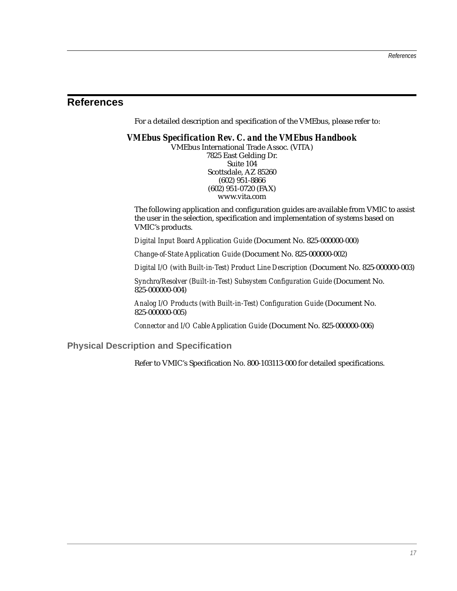### <span id="page-16-0"></span>**References**

For a detailed description and specification of the VMEbus, please refer to:

#### *VMEbus Specification Rev. C. and the VMEbus Handbook*

VMEbus International Trade Assoc. (VITA) 7825 East Gelding Dr. Suite 104 Scottsdale, AZ 85260 (602) 951-8866 (602) 951-0720 (FAX) www.vita.com

The following application and configuration guides are available from VMIC to assist the user in the selection, specification and implementation of systems based on VMIC's products.

*Digital Input Board Application Guide* (Document No. 825-000000-000)

*Change-of-State Application Guide* (Document No. 825-000000-002)

*Digital I/O (with Built-in-Test) Product Line Description* (Document No. 825-000000-003)

*Synchro/Resolver (Built-in-Test) Subsystem Configuration Guide* (Document No. 825-000000-004)

*Analog I/O Products (with Built-in-Test) Configuration Guide* (Document No. 825-000000-005)

*Connector and I/O Cable Application Guide* (Document No. 825-000000-006)

<span id="page-16-1"></span>**Physical Description and Specification**

Refer to VMIC's Specification No. 800-103113-000 for detailed specifications.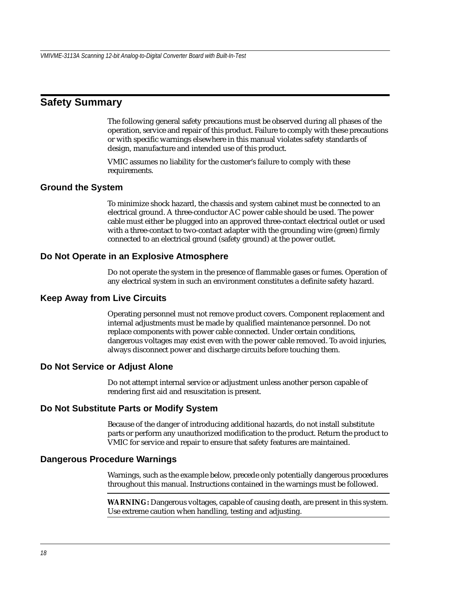## <span id="page-17-0"></span>**Safety Summary**

The following general safety precautions must be observed during all phases of the operation, service and repair of this product. Failure to comply with these precautions or with specific warnings elsewhere in this manual violates safety standards of design, manufacture and intended use of this product.

VMIC assumes no liability for the customer's failure to comply with these requirements.

#### **Ground the System**

To minimize shock hazard, the chassis and system cabinet must be connected to an electrical ground. A three-conductor AC power cable should be used. The power cable must either be plugged into an approved three-contact electrical outlet or used with a three-contact to two-contact adapter with the grounding wire (green) firmly connected to an electrical ground (safety ground) at the power outlet.

#### **Do Not Operate in an Explosive Atmosphere**

Do not operate the system in the presence of flammable gases or fumes. Operation of any electrical system in such an environment constitutes a definite safety hazard.

#### **Keep Away from Live Circuits**

Operating personnel must not remove product covers. Component replacement and internal adjustments must be made by qualified maintenance personnel. Do not replace components with power cable connected. Under certain conditions, dangerous voltages may exist even with the power cable removed. To avoid injuries, always disconnect power and discharge circuits before touching them.

#### **Do Not Service or Adjust Alone**

Do not attempt internal service or adjustment unless another person capable of rendering first aid and resuscitation is present.

#### **Do Not Substitute Parts or Modify System**

Because of the danger of introducing additional hazards, do not install substitute parts or perform any unauthorized modification to the product. Return the product to VMIC for service and repair to ensure that safety features are maintained.

#### **Dangerous Procedure Warnings**

Warnings, such as the example below, precede only potentially dangerous procedures throughout this manual. Instructions contained in the warnings must be followed.

**WARNING:** Dangerous voltages, capable of causing death, are present in this system. Use extreme caution when handling, testing and adjusting.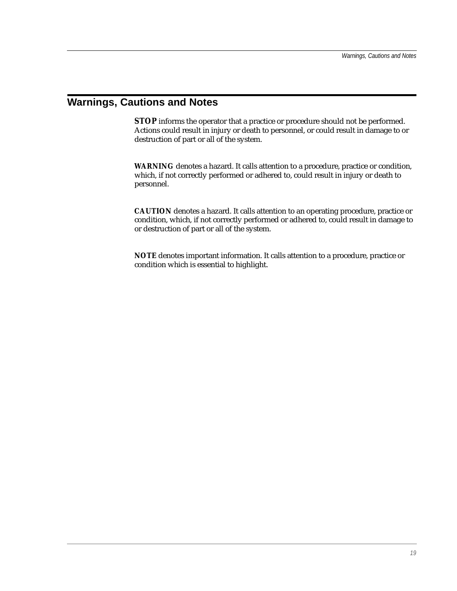## <span id="page-18-0"></span>**Warnings, Cautions and Notes**

**STOP** informs the operator that a practice or procedure should not be performed. Actions could result in injury or death to personnel, or could result in damage to or destruction of part or all of the system.

**WARNING** denotes a hazard. It calls attention to a procedure, practice or condition, which, if not correctly performed or adhered to, could result in injury or death to personnel.

**CAUTION** denotes a hazard. It calls attention to an operating procedure, practice or condition, which, if not correctly performed or adhered to, could result in damage to or destruction of part or all of the system.

**NOTE** denotes important information. It calls attention to a procedure, practice or condition which is essential to highlight.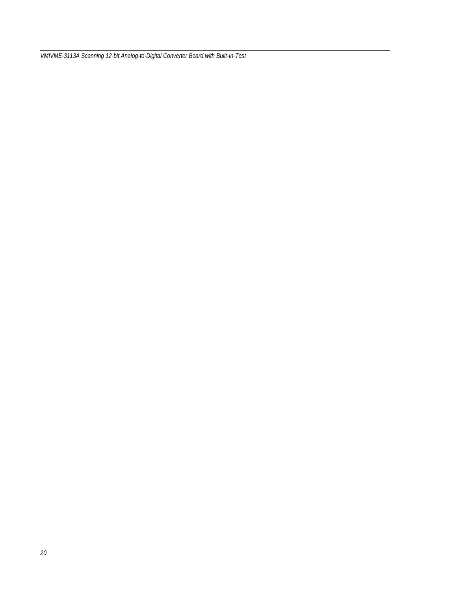*VMIVME-3113A Scanning 12-bit Analog-to-Digital Converter Board with Built-In-Test*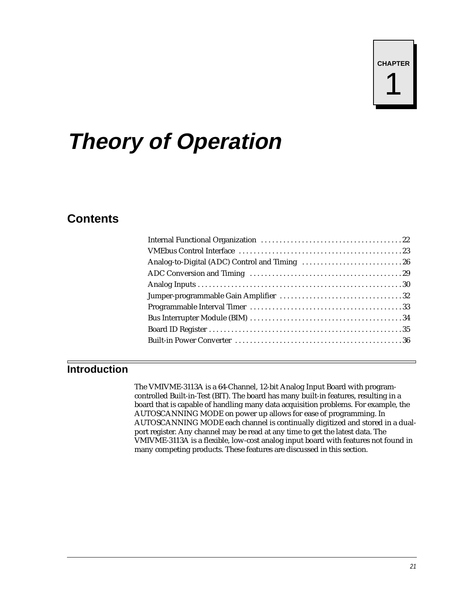# <span id="page-20-0"></span>**Theory of Operation**

## **Contents**

## **Introduction**

The VMIVME-3113A is a 64-Channel, 12-bit Analog Input Board with programcontrolled Built-in-Test (BIT). The board has many built-in features, resulting in a board that is capable of handling many data acquisition problems. For example, the AUTOSCANNING MODE on power up allows for ease of programming. In AUTOSCANNING MODE each channel is continually digitized and stored in a dualport register. Any channel may be read at any time to get the latest data. The VMIVME-3113A is a flexible, low-cost analog input board with features not found in many competing products. These features are discussed in this section.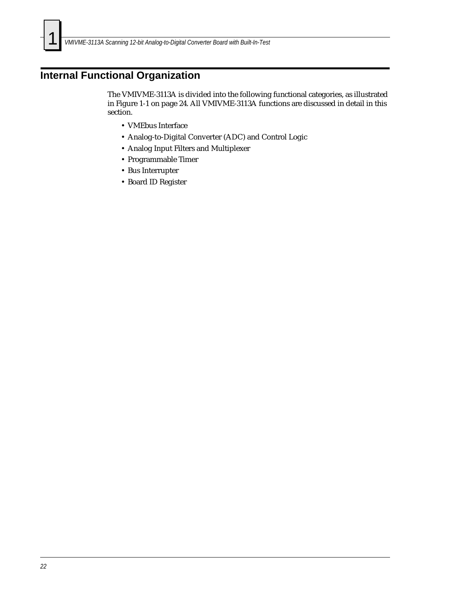## <span id="page-21-0"></span>**Internal Functional Organization**

The VMIVME-3113A is divided into the following functional categories, as illustrated in [Figure 1-1 on page 24.](#page-23-0) All VMIVME-3113A functions are discussed in detail in this section.

- VMEbus Interface
- Analog-to-Digital Converter (ADC) and Control Logic
- Analog Input Filters and Multiplexer
- Programmable Timer
- Bus Interrupter
- Board ID Register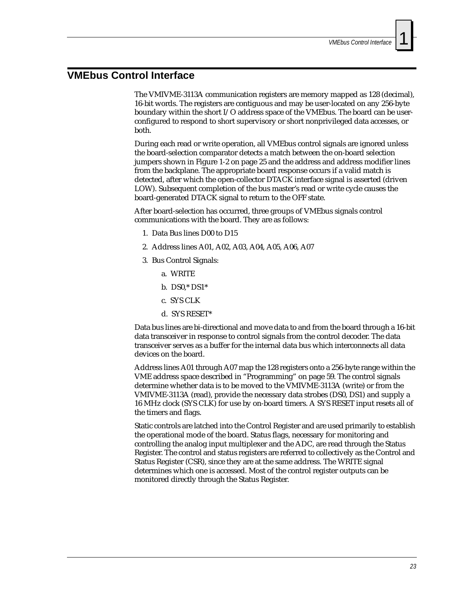### <span id="page-22-0"></span>**VMEbus Control Interface**

The VMIVME-3113A communication registers are memory mapped as 128 (decimal), 16-bit words. The registers are contiguous and may be user-located on any 256-byte boundary within the short I/O address space of the VMEbus. The board can be userconfigured to respond to short supervisory or short nonprivileged data accesses, or both.

During each read or write operation, all VMEbus control signals are ignored unless the board-selection comparator detects a match between the on-board selection jumpers shown in [Figure 1-2 on page 25](#page-24-0) and the address and address modifier lines from the backplane. The appropriate board response occurs if a valid match is detected, after which the open-collector DTACK interface signal is asserted (driven LOW). Subsequent completion of the bus master's read or write cycle causes the board-generated DTACK signal to return to the OFF state.

After board-selection has occurred, three groups of VMEbus signals control communications with the board. They are as follows:

- 1. Data Bus lines D00 to D15
- 2. Address lines A01, A02, A03, A04, A05, A06, A07
- 3. Bus Control Signals:
	- a. WRITE
	- b. DS0,\* DS1\*
	- c. SYS CLK
	- d. SYS RESET\*

Data bus lines are bi-directional and move data to and from the board through a 16-bit data transceiver in response to control signals from the control decoder. The data transceiver serves as a buffer for the internal data bus which interconnects all data devices on the board.

Address lines A01 through A07 map the 128 registers onto a 256-byte range within the VME address space described in ["Programming" on page 59](#page-58-1). The control signals determine whether data is to be moved to the VMIVME-3113A (write) or from the VMIVME-3113A (read), provide the necessary data strobes (DS0, DS1) and supply a 16 MHz clock (SYS CLK) for use by on-board timers. A SYS RESET input resets all of the timers and flags.

Static controls are latched into the Control Register and are used primarily to establish the operational mode of the board. Status flags, necessary for monitoring and controlling the analog input multiplexer and the ADC, are read through the Status Register. The control and status registers are referred to collectively as the Control and Status Register (CSR), since they are at the same address. The WRITE signal determines which one is accessed. Most of the control register outputs can be monitored directly through the Status Register.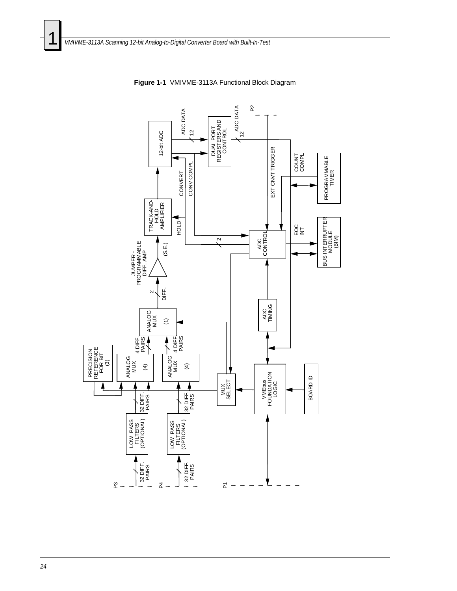<span id="page-23-0"></span>

**Figure 1-1** VMIVME-3113A Functional Block Diagram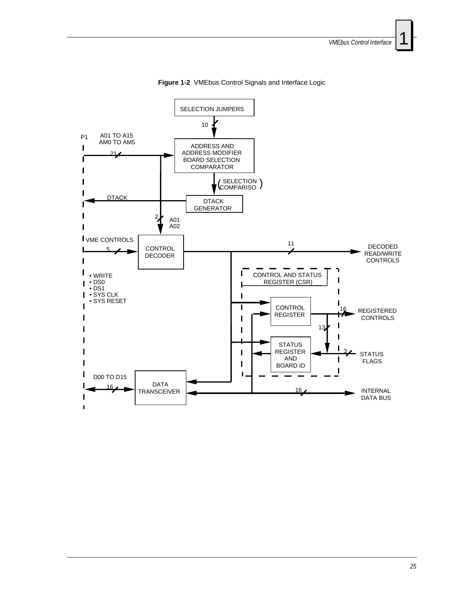<span id="page-24-0"></span>

**Figure 1-2** VMEbus Control Signals and Interface Logic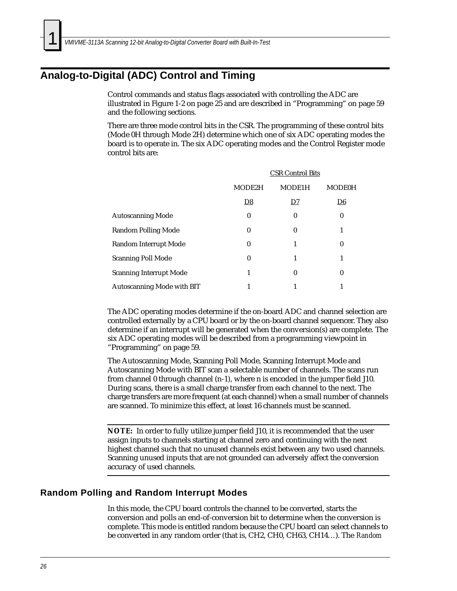## <span id="page-25-2"></span><span id="page-25-0"></span>**Analog-to-Digital (ADC) Control and Timing**

Control commands and status flags associated with controlling the ADC are illustrated in [Figure 1-2 on page 25](#page-24-0) and are described in ["Programming" on page 59](#page-58-1) and the following sections.

There are three mode control bits in the CSR. The programming of these control bits (Mode 0H through Mode 2H) determine which one of six ADC operating modes the board is to operate in. The six ADC operating modes and the Control Register mode control bits are:

|                                | <b>CSR Control Bits</b> |          |                  |
|--------------------------------|-------------------------|----------|------------------|
|                                | MODE2H                  | MODE1H   | <b>MODE0H</b>    |
|                                | D8                      | D7       | D6               |
| <b>Autoscanning Mode</b>       | $\bf{0}$                | $\bf{0}$ | $\boldsymbol{0}$ |
| Random Polling Mode            | $\bf{0}$                | $\bf{0}$ | 1                |
| Random Interrupt Mode          | $\bf{0}$                | 1        | $\boldsymbol{0}$ |
| <b>Scanning Poll Mode</b>      | $\boldsymbol{0}$        |          | 1                |
| <b>Scanning Interrupt Mode</b> | 1                       | 0        | $\bf{0}$         |
| Autoscanning Mode with BIT     |                         |          |                  |

The ADC operating modes determine if the on-board ADC and channel selection are controlled externally by a CPU board or by the on-board channel sequencer. They also determine if an interrupt will be generated when the conversion(s) are complete. The six ADC operating modes will be described from a programming viewpoint in ["Programming" on page 59.](#page-58-1)

The Autoscanning Mode, Scanning Poll Mode, Scanning Interrupt Mode and Autoscanning Mode with BIT scan a selectable number of channels. The scans run from channel 0 through channel (n-1), where n is encoded in the jumper field J10. During scans, there is a small charge transfer from each channel to the next. The charge transfers are more frequent (at each channel) when a small number of channels are scanned. To minimize this effect, at least 16 channels must be scanned.

**NOTE:** In order to fully utilize jumper field J10, it is recommended that the user assign inputs to channels starting at channel zero and continuing with the next highest channel such that no unused channels exist between any two used channels. Scanning unused inputs that are not grounded can adversely affect the conversion accuracy of used channels.

#### <span id="page-25-1"></span>**Random Polling and Random Interrupt Modes**

In this mode, the CPU board controls the channel to be converted, starts the conversion and polls an end-of-conversion bit to determine when the conversion is complete. This mode is entitled random because the CPU board can select channels to be converted in any random order (that is, CH2, CH0, CH63, CH14…). The *Random*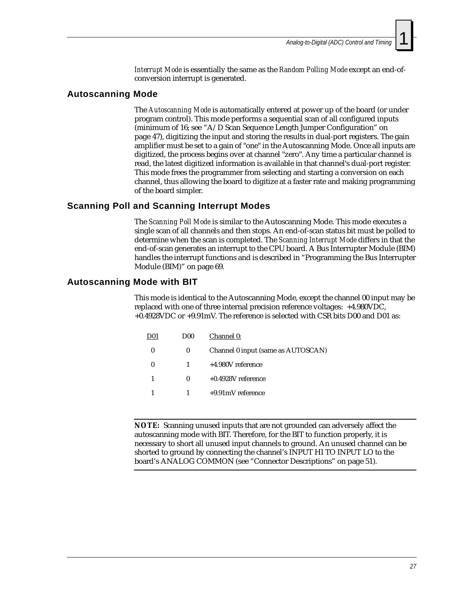*Interrupt Mode* is essentially the same as the *Random Polling Mode* except an end-ofconversion interrupt is generated.

#### <span id="page-26-0"></span>**Autoscanning Mode**

The *Autoscanning Mode* is automatically entered at power up of the board (or under program control). This mode performs a sequential scan of all configured inputs (minimum of 16; see ["A/D Scan Sequence Length Jumper Configuration" on](#page-46-2)  [page 47\)](#page-46-2), digitizing the input and storing the results in dual-port registers. The gain amplifier must be set to a gain of "one" in the Autoscanning Mode. Once all inputs are digitized, the process begins over at channel "zero". Any time a particular channel is read, the latest digitized information is available in that channel's dual-port register. This mode frees the programmer from selecting and starting a conversion on each channel, thus allowing the board to digitize at a faster rate and making programming of the board simpler.

#### <span id="page-26-1"></span>**Scanning Poll and Scanning Interrupt Modes**

The *Scanning Poll Mode* is similar to the Autoscanning Mode. This mode executes a single scan of all channels and then stops. An end-of-scan status bit must be polled to determine when the scan is completed. The *Scanning Interrupt Mode* differs in that the end-of-scan generates an interrupt to the CPU board. A Bus Interrupter Module (BIM) handles the interrupt functions and is described in ["Programming the Bus Interrupter](#page-68-3)  [Module \(BIM\)" on page 69](#page-68-3).

#### <span id="page-26-2"></span>**Autoscanning Mode with BIT**

This mode is identical to the Autoscanning Mode, except the channel 00 input may be replaced with one of three internal precision reference voltages: +4.980VDC, +0.4928VDC or +9.91mV. The reference is selected with CSR bits D00 and D01 as:

| D <sub>01</sub> | D <sub>00</sub> | Channel 0:                         |
|-----------------|-----------------|------------------------------------|
| 0               | $\bf{0}$        | Channel 0 input (same as AUTOSCAN) |
| 0               |                 | $+4.980V$ reference                |
|                 | 0               | $+0.4928V$ reference               |
|                 |                 | $+9.91$ mV reference               |

**NOTE:** Scanning unused inputs that are not grounded can adversely affect the autoscanning mode with BIT. Therefore, for the BIT to function properly, it is necessary to short all unused input channels to ground. An unused channel can be shorted to ground by connecting the channel's INPUT HI TO INPUT LO to the board's ANALOG COMMON (see ["Connector Descriptions" on page 51\)](#page-50-1).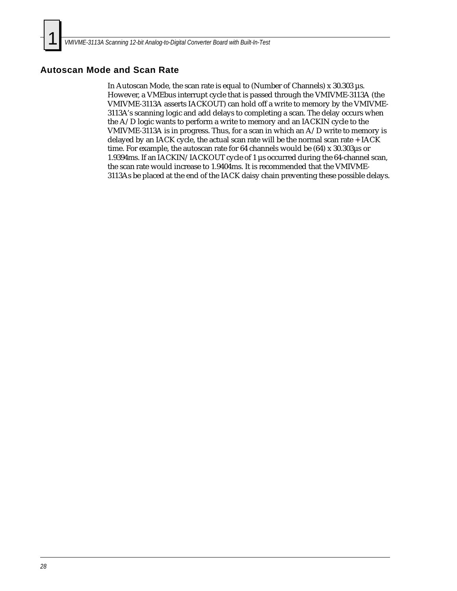### <span id="page-27-0"></span>**Autoscan Mode and Scan Rate**

In Autoscan Mode, the scan rate is equal to (Number of Channels) x 30.303 µs. However, a VMEbus interrupt cycle that is passed through the VMIVME-3113A (the VMIVME-3113A asserts IACKOUT) can hold off a write to memory by the VMIVME-3113A's scanning logic and add delays to completing a scan. The delay occurs when the A/D logic wants to perform a write to memory and an IACKIN cycle to the VMIVME-3113A is in progress. Thus, for a scan in which an A/D write to memory is delayed by an IACK cycle, the actual scan rate will be the normal scan rate + IACK time. For example, the autoscan rate for 64 channels would be (64) x 30.303µs or 1.9394ms. If an IACKIN/IACKOUT cycle of 1 µs occurred during the 64-channel scan, the scan rate would increase to 1.9404ms. It is recommended that the VMIVME-3113As be placed at the end of the IACK daisy chain preventing these possible delays.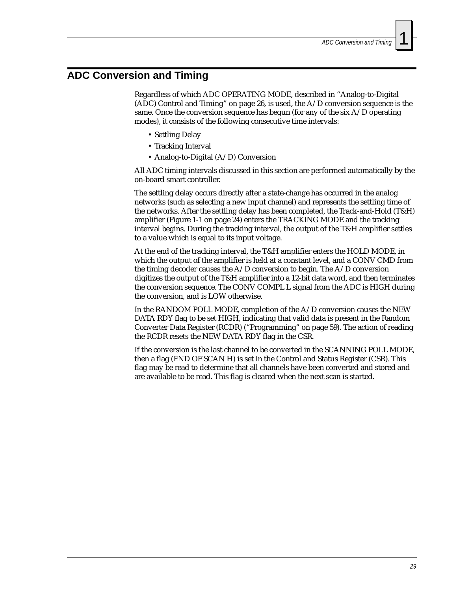## <span id="page-28-0"></span>**ADC Conversion and Timing**

Regardless of which ADC OPERATING MODE, described in ["Analog-to-Digital](#page-25-0)  [\(ADC\) Control and Timing" on page 26](#page-25-0), is used, the A/D conversion sequence is the same. Once the conversion sequence has begun (for any of the six A/D operating modes), it consists of the following consecutive time intervals:

- Settling Delay
- Tracking Interval
- Analog-to-Digital (A/D) Conversion

All ADC timing intervals discussed in this section are performed automatically by the on-board smart controller.

The settling delay occurs directly after a state-change has occurred in the analog networks (such as selecting a new input channel) and represents the settling time of the networks. After the settling delay has been completed, the Track-and-Hold (T&H) amplifier ([Figure 1-1 on page 24](#page-23-0)) enters the TRACKING MODE and the tracking interval begins. During the tracking interval, the output of the T&H amplifier settles to a value which is equal to its input voltage.

At the end of the tracking interval, the T&H amplifier enters the HOLD MODE, in which the output of the amplifier is held at a constant level, and a CONV CMD from the timing decoder causes the A/D conversion to begin. The A/D conversion digitizes the output of the T&H amplifier into a 12-bit data word, and then terminates the conversion sequence. The CONV COMPL L signal from the ADC is HIGH during the conversion, and is LOW otherwise.

In the RANDOM POLL MODE, completion of the A/D conversion causes the NEW DATA RDY flag to be set HIGH, indicating that valid data is present in the Random Converter Data Register (RCDR) (["Programming" on page 59\)](#page-58-1). The action of reading the RCDR resets the NEW DATA RDY flag in the CSR.

If the conversion is the last channel to be converted in the SCANNING POLL MODE, then a flag (END OF SCAN H) is set in the Control and Status Register (CSR). This flag may be read to determine that all channels have been converted and stored and are available to be read. This flag is cleared when the next scan is started.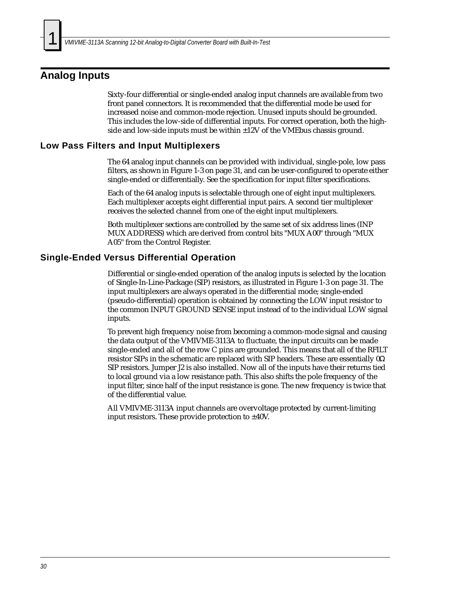## <span id="page-29-0"></span>**Analog Inputs**

Sixty-four differential or single-ended analog input channels are available from two front panel connectors. It is recommended that the differential mode be used for increased noise and common-mode rejection. Unused inputs should be grounded. This includes the low-side of differential inputs. For correct operation, both the highside and low-side inputs must be within ±12V of the VMEbus chassis ground.

#### <span id="page-29-1"></span>**Low Pass Filters and Input Multiplexers**

The 64 analog input channels can be provided with individual, single-pole, low pass filters, as shown in [Figure 1-3 on page 31](#page-30-0), and can be user-configured to operate either single-ended or differentially. See the specification for input filter specifications.

Each of the 64 analog inputs is selectable through one of eight input multiplexers. Each multiplexer accepts eight differential input pairs. A second tier multiplexer receives the selected channel from one of the eight input multiplexers.

Both multiplexer sections are controlled by the same set of six address lines (INP MUX ADDRESS) which are derived from control bits "MUX A00" through "MUX A05" from the Control Register.

### <span id="page-29-2"></span>**Single-Ended Versus Differential Operation**

Differential or single-ended operation of the analog inputs is selected by the location of Single-In-Line-Package (SIP) resistors, as illustrated in [Figure 1-3 on page 31](#page-30-0). The input multiplexers are always operated in the differential mode; single-ended (pseudo-differential) operation is obtained by connecting the LOW input resistor to the common INPUT GROUND SENSE input instead of to the individual LOW signal inputs.

To prevent high frequency noise from becoming a common-mode signal and causing the data output of the VMIVME-3113A to fluctuate, the input circuits can be made single-ended and all of the row C pins are grounded. This means that all of the RFILT resistor SIPs in the schematic are replaced with SIP headers. These are essentially 0Ω SIP resistors. Jumper J2 is also installed. Now all of the inputs have their returns tied to local ground via a low resistance path. This also shifts the pole frequency of the input filter, since half of the input resistance is gone. The new frequency is twice that of the differential value.

All VMIVME-3113A input channels are overvoltage protected by current-limiting input resistors. These provide protection to  $\pm 40$ V.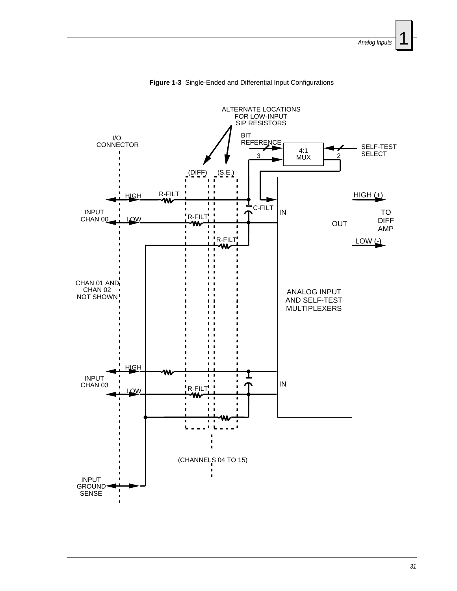<span id="page-30-0"></span>

**Figure 1-3** Single-Ended and Differential Input Configurations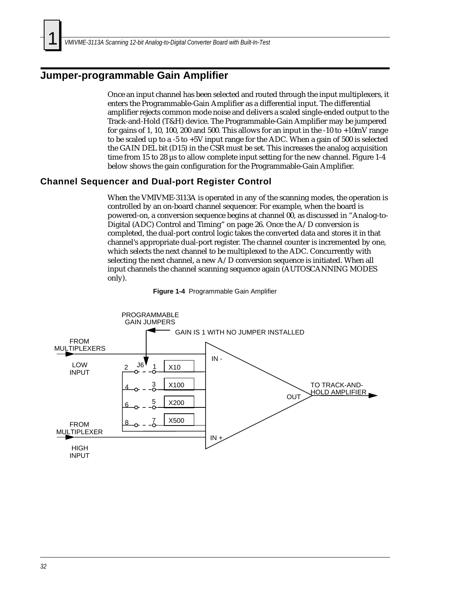## <span id="page-31-0"></span>**Jumper-programmable Gain Amplifier**

Once an input channel has been selected and routed through the input multiplexers, it enters the Programmable-Gain Amplifier as a differential input. The differential amplifier rejects common mode noise and delivers a scaled single-ended output to the Track-and-Hold (T&H) device. The Programmable-Gain Amplifier may be jumpered for gains of 1, 10, 100, 200 and 500. This allows for an input in the -10 to +10mV range to be scaled up to a -5 to +5V input range for the ADC. When a gain of 500 is selected the GAIN DEL bit (D15) in the CSR must be set. This increases the analog acquisition time from 15 to 28  $\mu$ s to allow complete input setting for the new channel. [Figure 1-4](#page-31-2) below shows the gain configuration for the Programmable-Gain Amplifier.

### <span id="page-31-1"></span>**Channel Sequencer and Dual-port Register Control**

When the VMIVME-3113A is operated in any of the scanning modes, the operation is controlled by an on-board channel sequencer. For example, when the board is powered-on, a conversion sequence begins at channel 00, as discussed in ["Analog-to-](#page-25-0)[Digital \(ADC\) Control and Timing" on page 26](#page-25-0). Once the A/D conversion is completed, the dual-port control logic takes the converted data and stores it in that channel's appropriate dual-port register. The channel counter is incremented by one, which selects the next channel to be multiplexed to the ADC. Concurrently with selecting the next channel, a new  $A/D$  conversion sequence is initiated. When all input channels the channel scanning sequence again (AUTOSCANNING MODES only).

<span id="page-31-2"></span>

**Figure 1-4** Programmable Gain Amplifier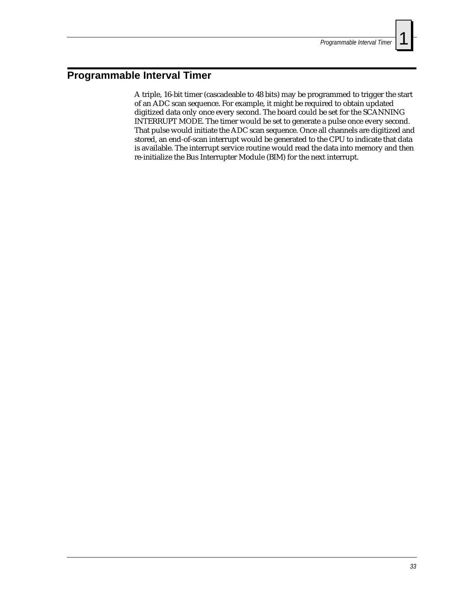## <span id="page-32-0"></span>**Programmable Interval Timer**

A triple, 16-bit timer (cascadeable to 48 bits) may be programmed to trigger the start of an ADC scan sequence. For example, it might be required to obtain updated digitized data only once every second. The board could be set for the SCANNING INTERRUPT MODE. The timer would be set to generate a pulse once every second. That pulse would initiate the ADC scan sequence. Once all channels are digitized and stored, an end-of-scan interrupt would be generated to the CPU to indicate that data is available. The interrupt service routine would read the data into memory and then re-initialize the Bus Interrupter Module (BIM) for the next interrupt.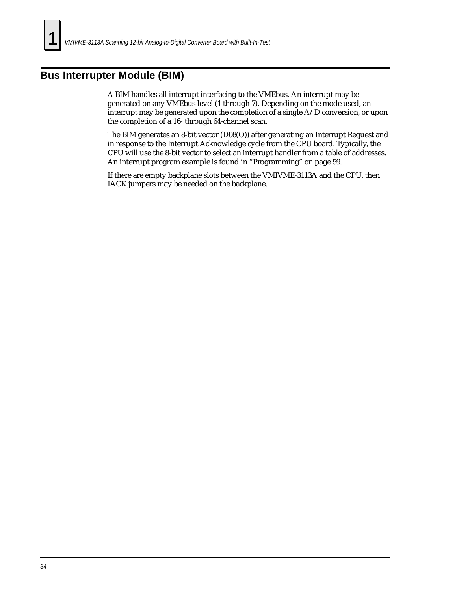## <span id="page-33-0"></span>**Bus Interrupter Module (BIM)**

A BIM handles all interrupt interfacing to the VMEbus. An interrupt may be generated on any VMEbus level (1 through 7). Depending on the mode used, an interrupt may be generated upon the completion of a single A/D conversion, or upon the completion of a 16- through 64-channel scan.

The BIM generates an 8-bit vector (D08(O)) after generating an Interrupt Request and in response to the Interrupt Acknowledge cycle from the CPU board. Typically, the CPU will use the 8-bit vector to select an interrupt handler from a table of addresses. An interrupt program example is found in ["Programming" on page 59](#page-58-1).

If there are empty backplane slots between the VMIVME-3113A and the CPU, then IACK jumpers may be needed on the backplane.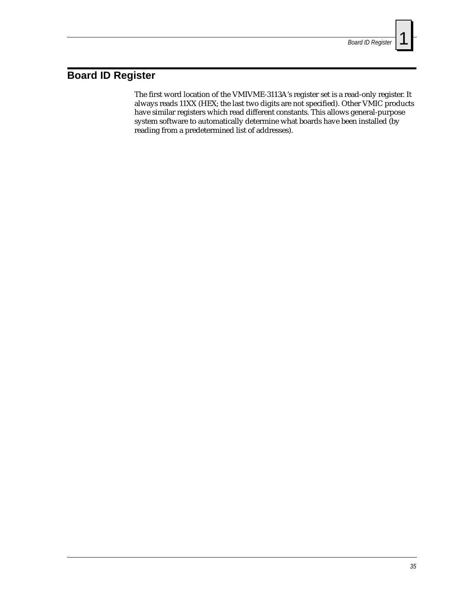## <span id="page-34-0"></span>**Board ID Register**

The first word location of the VMIVME-3113A's register set is a read-only register. It always reads 11XX (HEX; the last two digits are not specified). Other VMIC products have similar registers which read different constants. This allows general-purpose system software to automatically determine what boards have been installed (by reading from a predetermined list of addresses).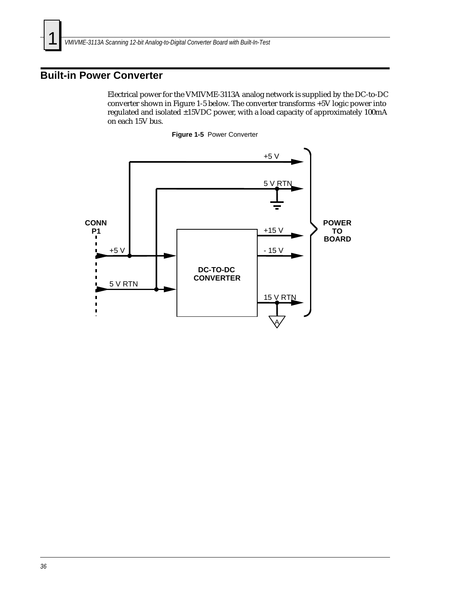## <span id="page-35-0"></span>**Built-in Power Converter**

Electrical power for the VMIVME-3113A analog network is supplied by the DC-to-DC converter shown in [Figure 1-5](#page-35-1) below. The converter transforms +5V logic power into regulated and isolated ±15VDC power, with a load capacity of approximately 100mA on each 15V bus.

**Figure 1-5** Power Converter

<span id="page-35-1"></span>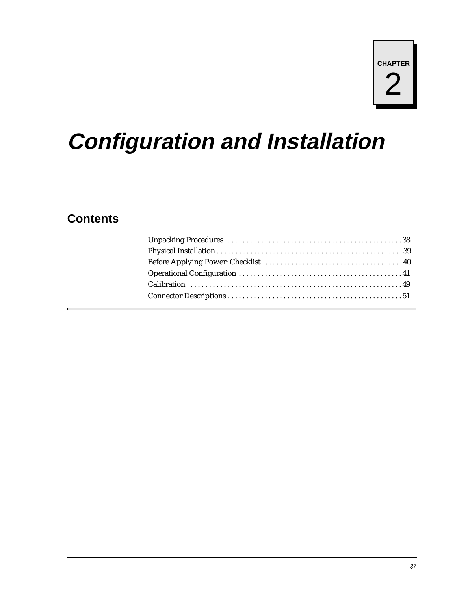# <span id="page-36-0"></span>**Configuration and Installation**

## **Contents**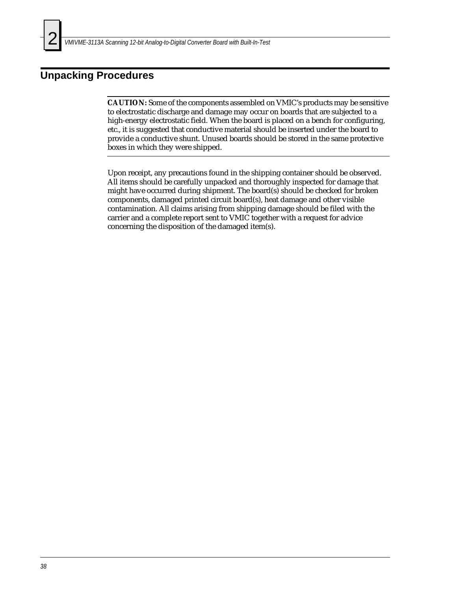

### <span id="page-37-0"></span>**Unpacking Procedures**

**CAUTION:** Some of the components assembled on VMIC's products may be sensitive to electrostatic discharge and damage may occur on boards that are subjected to a high-energy electrostatic field. When the board is placed on a bench for configuring, etc., it is suggested that conductive material should be inserted under the board to provide a conductive shunt. Unused boards should be stored in the same protective boxes in which they were shipped.

Upon receipt, any precautions found in the shipping container should be observed. All items should be carefully unpacked and thoroughly inspected for damage that might have occurred during shipment. The board(s) should be checked for broken components, damaged printed circuit board(s), heat damage and other visible contamination. All claims arising from shipping damage should be filed with the carrier and a complete report sent to VMIC together with a request for advice concerning the disposition of the damaged item(s).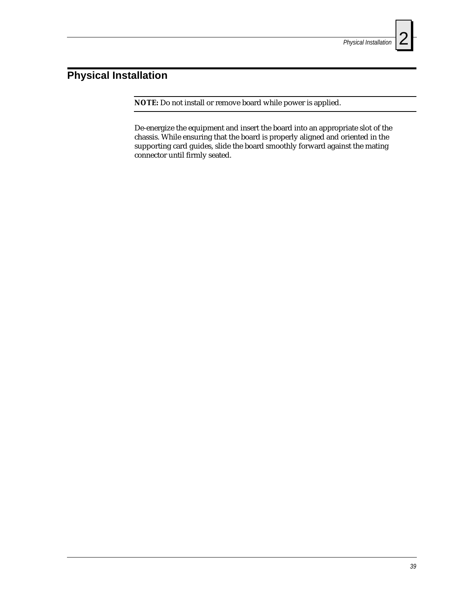## <span id="page-38-0"></span>**Physical Installation**

**NOTE:** Do not install or remove board while power is applied.

De-energize the equipment and insert the board into an appropriate slot of the chassis. While ensuring that the board is properly aligned and oriented in the supporting card guides, slide the board smoothly forward against the mating connector until firmly seated.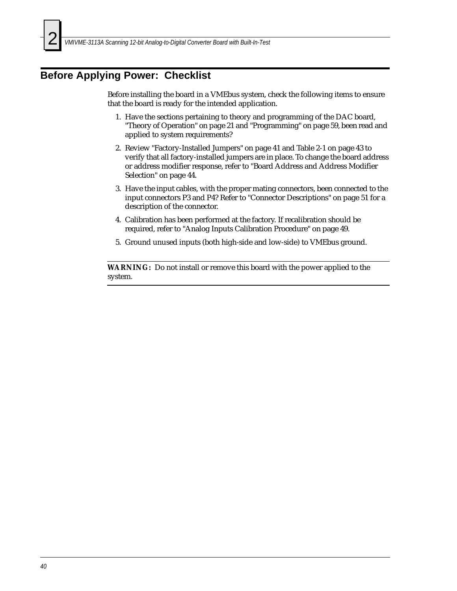### <span id="page-39-0"></span>**Before Applying Power: Checklist**

Before installing the board in a VMEbus system, check the following items to ensure that the board is ready for the intended application.

- 1. Have the sections pertaining to theory and programming of the DAC board, ["Theory of Operation" on page 21](#page-20-0) and ["Programming" on page 59,](#page-58-0) been read and applied to system requirements?
- 2. Review ["Factory-Installed Jumpers" on page 41](#page-40-1) and [Table 2-1 on page 43](#page-42-0) to verify that all factory-installed jumpers are in place. To change the board address or address modifier response, refer to ["Board Address and Address Modifier](#page-43-0)  [Selection" on page 44.](#page-43-0)
- 3. Have the input cables, with the proper mating connectors, been connected to the input connectors P3 and P4? Refer to ["Connector Descriptions" on page 51](#page-50-0) for a description of the connector.
- 4. Calibration has been performed at the factory. If recalibration should be required, refer to ["Analog Inputs Calibration Procedure" on page 49.](#page-48-1)
- 5. Ground unused inputs (both high-side and low-side) to VMEbus ground.

**WARNING:** Do not install or remove this board with the power applied to the system.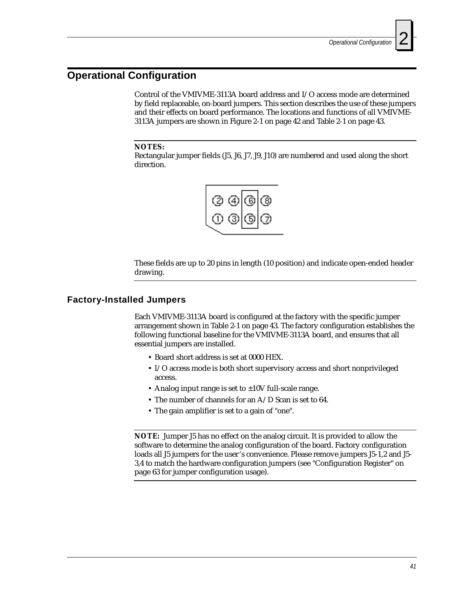### <span id="page-40-0"></span>**Operational Configuration**

Control of the VMIVME-3113A board address and I/O access mode are determined by field replaceable, on-board jumpers. This section describes the use of these jumpers and their effects on board performance. The locations and functions of all VMIVME-3113A jumpers are shown in [Figure 2-1 on page 42](#page-41-0) and [Table 2-1 on page 43.](#page-42-0)

#### **NOTES:**

Rectangular jumper fields (J5, J6, J7, J9, J10) are numbered and used along the short direction.



These fields are up to 20 pins in length (10 position) and indicate open-ended header drawing.

#### <span id="page-40-1"></span>**Factory-Installed Jumpers**

Each VMIVME-3113A board is configured at the factory with the specific jumper arrangement shown in [Table 2-1 on page 43.](#page-42-0) The factory configuration establishes the following functional baseline for the VMIVME-3113A board, and ensures that all essential jumpers are installed.

- Board short address is set at 0000 HEX.
- I/O access mode is both short supervisory access and short nonprivileged access.
- Analog input range is set to ±10V full-scale range.
- The number of channels for an A/D Scan is set to 64.
- The gain amplifier is set to a gain of "one".

**NOTE:** Jumper J5 has no effect on the analog circuit. It is provided to allow the software to determine the analog configuration of the board. Factory configuration loads all J5 jumpers for the user's convenience. Please remove jumpers J5-1,2 and J5- 3,4 to match the hardware configuration jumpers (see ["Configuration Register" on](#page-62-0)  [page 63](#page-62-0) for jumper configuration usage).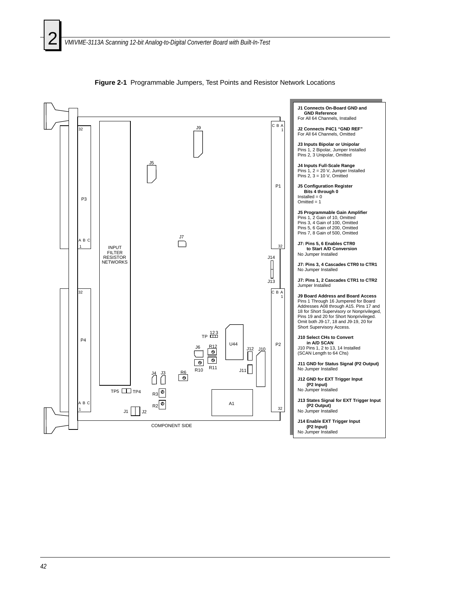<span id="page-41-0"></span>

#### **Figure 2-1** Programmable Jumpers, Test Points and Resistor Network Locations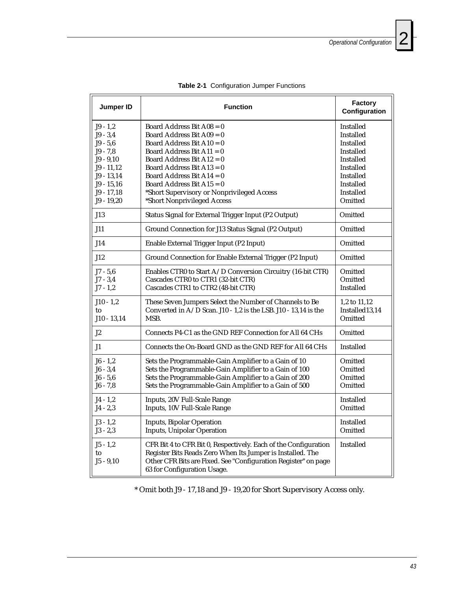<span id="page-42-0"></span>

| <b>Jumper ID</b>                                                                                                                                    | <b>Function</b>                                                                                                                                                                                                                                                                                                                 | <b>Factory</b><br>Configuration                                                                                                                   |
|-----------------------------------------------------------------------------------------------------------------------------------------------------|---------------------------------------------------------------------------------------------------------------------------------------------------------------------------------------------------------------------------------------------------------------------------------------------------------------------------------|---------------------------------------------------------------------------------------------------------------------------------------------------|
| $J9 - 1,2$<br>$J9 - 3,4$<br>$J9 - 5.6$<br>$J9 - 7.8$<br>$J9 - 9,10$<br>$J9 - 11.12$<br>$J9 - 13,14$<br>$J9 - 15,16$<br>$J9 - 17,18$<br>$J9 - 19,20$ | Board Address Bit $A08 = 0$<br>Board Address Bit A09 = 0<br>Board Address Bit $A10 = 0$<br>Board Address Bit $A11 = 0$<br>Board Address Bit $A12 = 0$<br>Board Address Bit $A13 = 0$<br>Board Address Bit $A14 = 0$<br>Board Address Bit $A15 = 0$<br>*Short Supervisory or Nonprivileged Access<br>*Short Nonprivileged Access | Installed<br>Installed<br><b>Installed</b><br><b>Installed</b><br>Installed<br>Installed<br>Installed<br>Installed<br><b>Installed</b><br>Omitted |
| J13                                                                                                                                                 | Status Signal for External Trigger Input (P2 Output)                                                                                                                                                                                                                                                                            | Omitted                                                                                                                                           |
| J11                                                                                                                                                 | Ground Connection for J13 Status Signal (P2 Output)                                                                                                                                                                                                                                                                             | Omitted                                                                                                                                           |
| J14                                                                                                                                                 | Enable External Trigger Input (P2 Input)                                                                                                                                                                                                                                                                                        | Omitted                                                                                                                                           |
| J12                                                                                                                                                 | Ground Connection for Enable External Trigger (P2 Input)                                                                                                                                                                                                                                                                        | Omitted                                                                                                                                           |
| $J7 - 5,6$<br>$J7 - 3,4$<br>$J7 - 1,2$                                                                                                              | Enables CTR0 to Start A/D Conversion Circuitry (16-bit CTR)<br>Cascades CTR0 to CTR1 (32-bit CTR)<br>Cascades CTR1 to CTR2 (48-bit CTR)                                                                                                                                                                                         | Omitted<br>Omitted<br><b>Installed</b>                                                                                                            |
| $J10 - 1,2$<br>to<br>$J10 - 13,14$                                                                                                                  | These Seven Jumpers Select the Number of Channels to Be<br>Converted in $A/D$ Scan. J10 - 1,2 is the LSB. J10 - 13,14 is the<br>MSB.                                                                                                                                                                                            | 1,2 to 11,12<br>Installed13,14<br>Omitted                                                                                                         |
| J2                                                                                                                                                  | Connects P4-C1 as the GND REF Connection for All 64 CHs                                                                                                                                                                                                                                                                         | Omitted                                                                                                                                           |
| J1                                                                                                                                                  | Connects the On-Board GND as the GND REF for All 64 CHs                                                                                                                                                                                                                                                                         | Installed                                                                                                                                         |
| $J6 - 1,2$<br>$J6 - 3,4$<br>$J6 - 5.6$<br>$J6 - 7,8$                                                                                                | Sets the Programmable-Gain Amplifier to a Gain of 10<br>Sets the Programmable-Gain Amplifier to a Gain of 100<br>Sets the Programmable-Gain Amplifier to a Gain of 200<br>Sets the Programmable-Gain Amplifier to a Gain of 500                                                                                                 | Omitted<br>Omitted<br>Omitted<br>Omitted                                                                                                          |
| $J4 - 1,2$<br>$J4 - 2,3$                                                                                                                            | Inputs, 20V Full-Scale Range<br>Inputs, 10V Full-Scale Range                                                                                                                                                                                                                                                                    | Installed<br>Omitted                                                                                                                              |
| $J3 - 1,2$<br>$J3 - 2,3$                                                                                                                            | <b>Inputs, Bipolar Operation</b><br><b>Inputs, Unipolar Operation</b>                                                                                                                                                                                                                                                           | <b>Installed</b><br>Omitted                                                                                                                       |
| $J5 - 1.2$<br>to<br>$J5 - 9,10$                                                                                                                     | CFR Bit 4 to CFR Bit 0, Respectively. Each of the Configuration<br>Register Bits Reads Zero When Its Jumper is Installed. The<br>Other CFR Bits are Fixed. See "Configuration Register" on page<br>63 for Configuration Usage.                                                                                                  | Installed                                                                                                                                         |

|  | Table 2-1 Configuration Jumper Functions |  |  |
|--|------------------------------------------|--|--|
|--|------------------------------------------|--|--|

\* Omit both J9 - 17,18 and J9 - 19,20 for Short Supervisory Access only.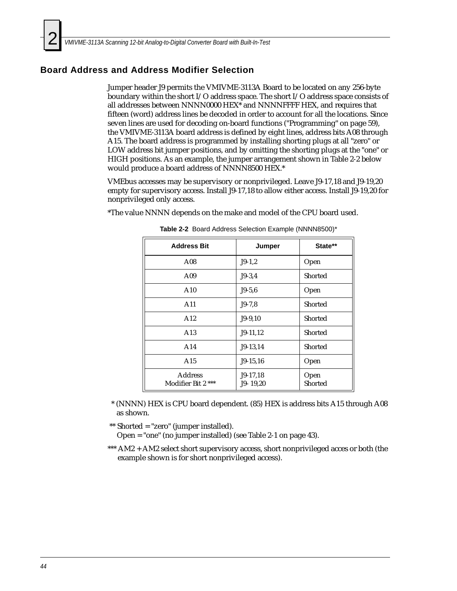### <span id="page-43-0"></span>**Board Address and Address Modifier Selection**

Jumper header J9 permits the VMIVME-3113A Board to be located on any 256-byte boundary within the short I/O address space. The short I/O address space consists of all addresses between NNNN0000 HEX\* and NNNNFFFF HEX, and requires that fifteen (word) address lines be decoded in order to account for all the locations. Since seven lines are used for decoding on-board functions (["Programming" on page 59\)](#page-58-0), the VMIVME-3113A board address is defined by eight lines, address bits A08 through A15. The board address is programmed by installing shorting plugs at all "zero" or LOW address bit jumper positions, and by omitting the shorting plugs at the "one" or HIGH positions. As an example, the jumper arrangement shown in [Table 2-2](#page-43-1) below would produce a board address of NNNN8500 HEX.\*

VMEbus accesses may be supervisory or nonprivileged. Leave J9-17,18 and J9-19,20 empty for supervisory access. Install J9-17,18 to allow either access. Install J9-19,20 for nonprivileged only access.

<span id="page-43-1"></span>\*The value NNNN depends on the make and model of the CPU board used.

| <b>Address Bit</b>                   | Jumper                 | State**         |
|--------------------------------------|------------------------|-----------------|
| A <sub>08</sub>                      | $J9-1,2$               | Open            |
| A <sub>09</sub>                      | $J9-3,4$               | <b>Shorted</b>  |
| A10                                  | $J9-5,6$               | Open            |
| A11                                  | $J9-7,8$               | Shorted         |
| A12                                  | $J9-9,10$              | Shorted         |
| A13                                  | $J9-11, 12$            | Shorted         |
| A14                                  | $J9-13,14$             | Shorted         |
| A15                                  | $J9-15,16$             | Open            |
| <b>Address</b><br>Modifier Bit 2 *** | J9-17,18<br>$J9-19,20$ | Open<br>Shorted |

|  | Table 2-2 Board Address Selection Example (NNNN8500)* |  |  |  |  |
|--|-------------------------------------------------------|--|--|--|--|
|--|-------------------------------------------------------|--|--|--|--|

 \* (NNNN) HEX is CPU board dependent. (85) HEX is address bits A15 through A08 as shown.

\*\* Shorted = "zero" (jumper installed).

Open = "one" (no jumper installed) (see [Table 2-1 on page 43\)](#page-42-0).

\*\*\* AM2 + AM2 select short supervisory access, short nonprivileged acces or both (the example shown is for short nonprivileged access).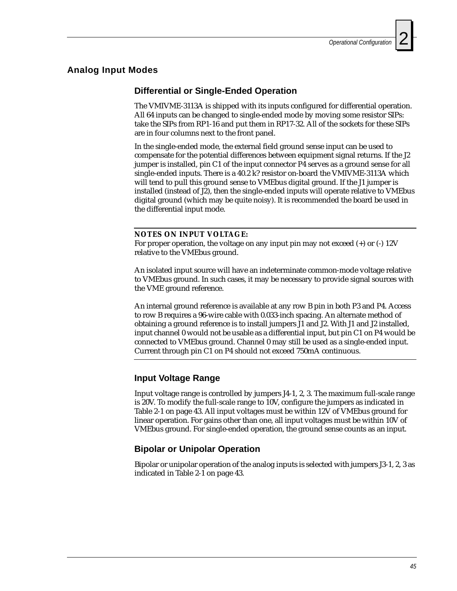### <span id="page-44-0"></span>**Analog Input Modes**

### **Differential or Single-Ended Operation**

The VMIVME-3113A is shipped with its inputs configured for differential operation. All 64 inputs can be changed to single-ended mode by moving some resistor SIPs: take the SIPs from RP1-16 and put them in RP17-32. All of the sockets for these SIPs are in four columns next to the front panel.

In the single-ended mode, the external field ground sense input can be used to compensate for the potential differences between equipment signal returns. If the J2 jumper is installed, pin C1 of the input connector P4 serves as a ground sense for all single-ended inputs. There is a 40.2 k? resistor on-board the VMIVME-3113A which will tend to pull this ground sense to VMEbus digital ground. If the J1 jumper is installed (instead of J2), then the single-ended inputs will operate relative to VMEbus digital ground (which may be quite noisy). It is recommended the board be used in the differential input mode.

#### **NOTES ON INPUT VOLTAGE:**

For proper operation, the voltage on any input pin may not exceed (+) or (-) 12V relative to the VMEbus ground.

An isolated input source will have an indeterminate common-mode voltage relative to VMEbus ground. In such cases, it may be necessary to provide signal sources with the VME ground reference.

An internal ground reference is available at any row B pin in both P3 and P4. Access to row B requires a 96-wire cable with 0.033-inch spacing. An alternate method of obtaining a ground reference is to install jumpers J1 and J2. With J1 and J2 installed, input channel 0 would not be usable as a differential input, but pin C1 on P4 would be connected to VMEbus ground. Channel 0 may still be used as a single-ended input. Current through pin C1 on P4 should not exceed 750mA continuous.

### **Input Voltage Range**

Input voltage range is controlled by jumpers J4-1, 2, 3. The maximum full-scale range is 20V. To modify the full-scale range to 10V, configure the jumpers as indicated in [Table 2-1 on page 43](#page-42-0). All input voltages must be within 12V of VMEbus ground for linear operation. For gains other than one, all input voltages must be within 10V of VMEbus ground. For single-ended operation, the ground sense counts as an input.

### **Bipolar or Unipolar Operation**

Bipolar or unipolar operation of the analog inputs is selected with jumpers J3-1, 2, 3 as indicated in [Table 2-1 on page 43](#page-42-0).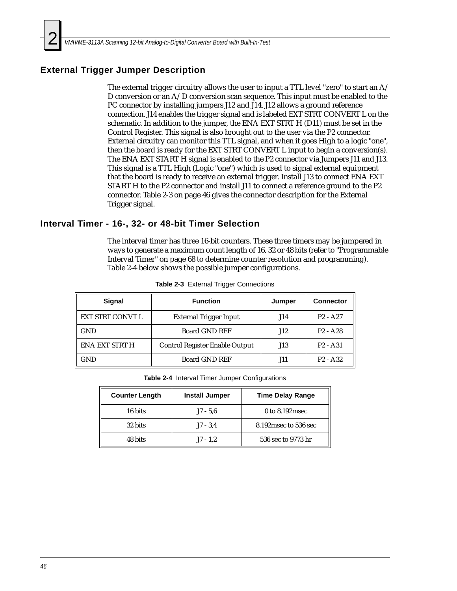### <span id="page-45-3"></span>**External Trigger Jumper Description**

The external trigger circuitry allows the user to input a TTL level "zero" to start an A/ D conversion or an A/D conversion scan sequence. This input must be enabled to the PC connector by installing jumpers J12 and J14. J12 allows a ground reference connection. J14 enables the trigger signal and is labeled EXT STRT CONVERT L on the schematic. In addition to the jumper, the ENA EXT STRT H (D11) must be set in the Control Register. This signal is also brought out to the user via the P2 connector. External circuitry can monitor this TTL signal, and when it goes High to a logic "one", then the board is ready for the EXT STRT CONVERT L input to begin a conversion(s). The ENA EXT START H signal is enabled to the P2 connector via Jumpers J11 and J13. This signal is a TTL High (Logic "one") which is used to signal external equipment that the board is ready to receive an external trigger. Install J13 to connect ENA EXT START H to the P2 connector and install J11 to connect a reference ground to the P2 connector. [Table 2-3 on page 46](#page-45-1) gives the connector description for the External Trigger signal.

### <span id="page-45-2"></span>**Interval Timer - 16-, 32- or 48-bit Timer Selection**

The interval timer has three 16-bit counters. These three timers may be jumpered in ways to generate a maximum count length of 16, 32 or 48 bits (refer to ["Programmable](#page-67-0)  [Interval Timer" on page 68](#page-67-0) to determine counter resolution and programming). [Table 2-4](#page-45-0) below shows the possible jumper configurations.

<span id="page-45-1"></span>

| <b>Signal</b>         | <b>Function</b>                |     | <b>Connector</b> |
|-----------------------|--------------------------------|-----|------------------|
| EXT STRT CONVT L      | <b>External Trigger Input</b>  | J14 | $P2 - A27$       |
| <b>GND</b>            | <b>Board GND REF</b>           | J12 | $P2 - A28$       |
| <b>ENA EXT STRT H</b> | Control Register Enable Output | J13 | $P2 - A31$       |
| GND                   | <b>Board GND REF</b>           | J11 | $P2 - A32$       |

**Table 2-3** External Trigger Connections

|  |  |  |  | Table 2-4 Interval Timer Jumper Configurations |
|--|--|--|--|------------------------------------------------|
|--|--|--|--|------------------------------------------------|

<span id="page-45-0"></span>

| <b>Counter Length</b> | <b>Install Jumper</b> | <b>Time Delay Range</b> |
|-----------------------|-----------------------|-------------------------|
| 16 bits               | $J7 - 5.6$            | 0 to 8.192 msec         |
| 32 bits               | $J7 - 3.4$            | 8.192 msec to 536 sec   |
| 48 bits               | $J7 - 1.2$            | 536 sec to 9773 hr      |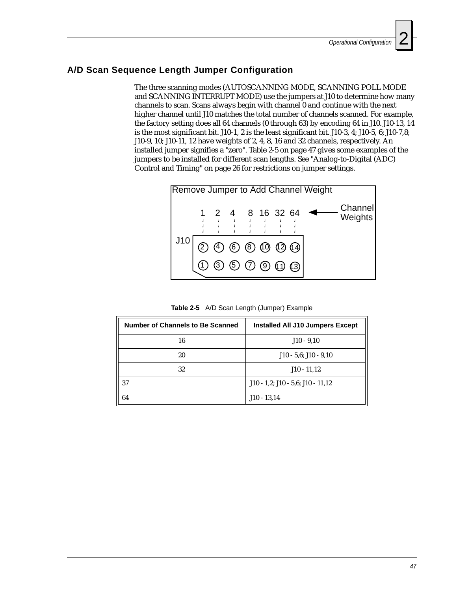### **A/D Scan Sequence Length Jumper Configuration**

The three scanning modes (AUTOSCANNING MODE, SCANNING POLL MODE and SCANNING INTERRUPT MODE) use the jumpers at J10 to determine how many channels to scan. Scans always begin with channel 0 and continue with the next higher channel until J10 matches the total number of channels scanned. For example, the factory setting does all 64 channels (0 through 63) by encoding 64 in J10. J10-13, 14 is the most significant bit. J10-1, 2 is the least significant bit. J10-3, 4; J10-5, 6; J10-7,8; J10-9, 10; J10-11, 12 have weights of 2, 4, 8, 16 and 32 channels, respectively. An installed jumper signifies a "zero". [Table 2-5 on page 47](#page-46-0) gives some examples of the jumpers to be installed for different scan lengths. See ["Analog-to-Digital \(ADC\)](#page-25-0)  [Control and Timing" on page 26](#page-25-0) for restrictions on jumper settings.



**Table 2-5** A/D Scan Length (Jumper) Example

<span id="page-46-0"></span>

| <b>Number of Channels to Be Scanned</b> | Installed All J10 Jumpers Except          |
|-----------------------------------------|-------------------------------------------|
| 16                                      | $J10 - 9,10$                              |
| 20                                      | $J10 - 5,6; J10 - 9,10$                   |
| 32                                      | $J10 - 11,12$                             |
| 37                                      | $J10 - 1,2$ ; $J10 - 5,6$ ; $J10 - 11,12$ |
| 64                                      | $J10 - 13,14$                             |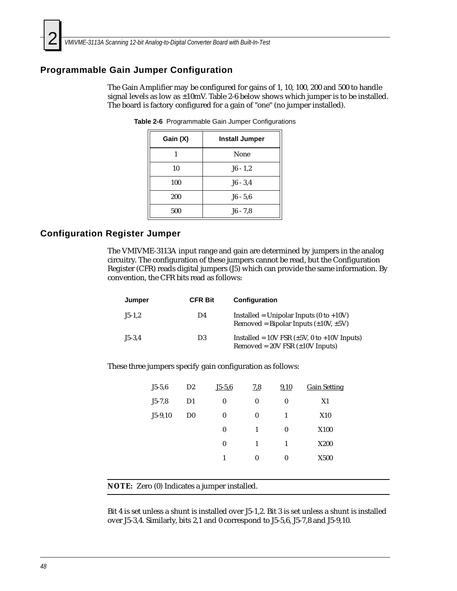### <span id="page-47-0"></span>**Programmable Gain Jumper Configuration**

The Gain Amplifier may be configured for gains of 1, 10, 100, 200 and 500 to handle signal levels as low as  $\pm 10$ mV. [Table 2-6](#page-47-0) below shows which jumper is to be installed. The board is factory configured for a gain of "one" (no jumper installed).

| Gain (X) | <b>Install Jumper</b> |
|----------|-----------------------|
|          | None                  |
| 10       | $J6 - 1.2$            |
| 100      | $J6 - 3.4$            |
| 200      | $J6 - 5.6$            |
| 500      | $J6 - 7.8$            |

**Table 2-6** Programmable Gain Jumper Configurations

#### <span id="page-47-1"></span>**Configuration Register Jumper**

The VMIVME-3113A input range and gain are determined by jumpers in the analog circuitry. The configuration of these jumpers cannot be read, but the Configuration Register (CFR) reads digital jumpers (J5) which can provide the same information. By convention, the CFR bits read as follows:

| Jumper   | <b>CFR Bit</b> | <b>Configuration</b>                                                                             |
|----------|----------------|--------------------------------------------------------------------------------------------------|
| $J5-1.2$ | D4             | Installed = Unipolar Inputs $(0 to +10V)$<br>Removed = Bipolar Inputs $(\pm 10V, \pm 5V)$        |
| $J5-3.4$ | D3             | Installed = $10V$ FSR ( $\pm 5V$ , 0 to $+10V$ Inputs)<br>Removed = $20V$ FSR $(\pm 10V$ Inputs) |

These three jumpers specify gain configuration as follows:

| $J5-5,6$  | D <sub>2</sub> | $J5-5.6$ | <u>7.8</u> | 9,10     | <b>Gain Setting</b> |
|-----------|----------------|----------|------------|----------|---------------------|
| $J5-7,8$  | D1             | $\bf{0}$ | $\bf{0}$   | $\bf{0}$ | X <sub>1</sub>      |
| $J5-9,10$ | D <sub>0</sub> | $\bf{0}$ | $\bf{0}$   | 1        | <b>X10</b>          |
|           |                | $\bf{0}$ | 1          | $\bf{0}$ | X100                |
|           |                | $\bf{0}$ | 1          | 1        | X200                |
|           |                | 1        | $\bf{0}$   | $\bf{0}$ | <b>X500</b>         |
|           |                |          |            |          |                     |

**NOTE:** Zero (0) Indicates a jumper installed.

Bit 4 is set unless a shunt is installed over J5-1,2. Bit 3 is set unless a shunt is installed over J5-3,4. Similarly, bits 2,1 and 0 correspond to J5-5,6, J5-7,8 and J5-9,10.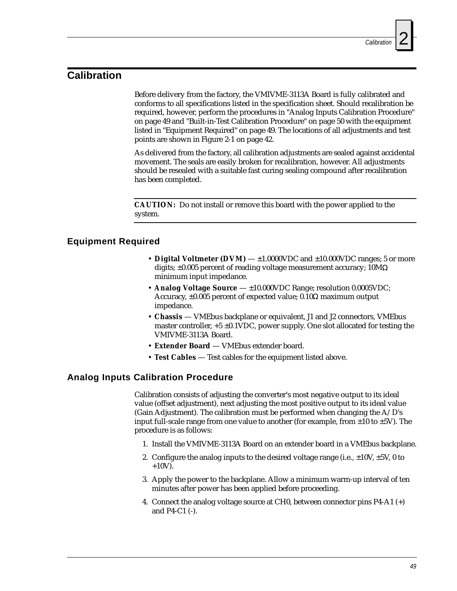### <span id="page-48-0"></span>**Calibration**

Before delivery from the factory, the VMIVME-3113A Board is fully calibrated and conforms to all specifications listed in the specification sheet. Should recalibration be required, however, perform the procedures in ["Analog Inputs Calibration Procedure"](#page-48-1)  [on page 49](#page-48-1) and ["Built-in-Test Calibration Procedure" on page 50](#page-49-0) with the equipment listed in ["Equipment Required" on page 49.](#page-48-2) The locations of all adjustments and test points are shown in [Figure 2-1 on page 42](#page-41-0).

As delivered from the factory, all calibration adjustments are sealed against accidental movement. The seals are easily broken for recalibration, however. All adjustments should be resealed with a suitable fast curing sealing compound after recalibration has been completed.

**CAUTION:** Do not install or remove this board with the power applied to the system.

### <span id="page-48-2"></span>**Equipment Required**

- **Digital Voltmeter (DVM)**  $\pm 1.0000$ VDC and  $\pm 10.000$ VDC ranges; 5 or more digits; ±0.005 percent of reading voltage measurement accuracy; 10MΩ minimum input impedance.
- **Analog Voltage Source** ±10.000VDC Range; resolution 0.0005VDC; Accuracy,  $\pm 0.005$  percent of expected value; 0.10 $\Omega$  maximum output impedance.
- **Chassis** VMEbus backplane or equivalent, J1 and J2 connectors, VMEbus master controller, +5 ±0.1VDC, power supply. One slot allocated for testing the VMIVME-3113A Board.
- **Extender Board** VMEbus extender board.
- **Test Cables** Test cables for the equipment listed above.

### <span id="page-48-1"></span>**Analog Inputs Calibration Procedure**

Calibration consists of adjusting the converter's most negative output to its ideal value (offset adjustment), next adjusting the most positive output to its ideal value (Gain Adjustment). The calibration must be performed when changing the  $A/D$ 's input full-scale range from one value to another (for example, from  $\pm 10$  to  $\pm 5$ V). The procedure is as follows:

- 1. Install the VMIVME-3113A Board on an extender board in a VMEbus backplane.
- 2. Configure the analog inputs to the desired voltage range (i.e.,  $\pm 10V$ ,  $\pm 5V$ , 0 to  $+10V$ ).
- 3. Apply the power to the backplane. Allow a minimum warm-up interval of ten minutes after power has been applied before proceeding.
- 4. Connect the analog voltage source at CH0, between connector pins P4-A1 (+) and P4-C1 (-).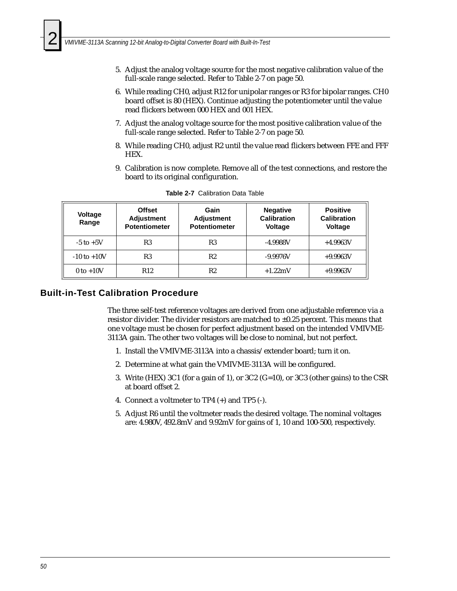- 5. Adjust the analog voltage source for the most negative calibration value of the full-scale range selected. Refer to [Table 2-7 on page 50](#page-49-1).
- 6. While reading CH0, adjust R12 for unipolar ranges or R3 for bipolar ranges. CH0 board offset is 80 (HEX). Continue adjusting the potentiometer until the value read flickers between 000 HEX and 001 HEX.
- 7. Adjust the analog voltage source for the most positive calibration value of the full-scale range selected. Refer to [Table 2-7 on page 50](#page-49-1).
- 8. While reading CH0, adjust R2 until the value read flickers between FFE and FFF HEX.
- 9. Calibration is now complete. Remove all of the test connections, and restore the board to its original configuration.

<span id="page-49-1"></span>

| <b>Voltage</b><br>Range | <b>Offset</b><br><b>Adjustment</b><br><b>Potentiometer</b> | Gain<br><b>Adjustment</b><br><b>Potentiometer</b> | <b>Negative</b><br><b>Calibration</b><br><b>Voltage</b> | <b>Positive</b><br><b>Calibration</b><br><b>Voltage</b> |
|-------------------------|------------------------------------------------------------|---------------------------------------------------|---------------------------------------------------------|---------------------------------------------------------|
| $-5$ to $+5V$           | R3                                                         | R3                                                | $-4.9988V$                                              | $+4.9963V$                                              |
| $-10$ to $+10V$         | R3                                                         | R2                                                | $-9.9976V$                                              | $+9.9963V$                                              |
| $0$ to $+10V$           | R <sub>12</sub>                                            | R2                                                | $+1.22$ mV                                              | $+9.9963V$                                              |

**Table 2-7** Calibration Data Table

### <span id="page-49-0"></span>**Built-in-Test Calibration Procedure**

The three self-test reference voltages are derived from one adjustable reference via a resistor divider. The divider resistors are matched to  $\pm 0.25$  percent. This means that one voltage must be chosen for perfect adjustment based on the intended VMIVME-3113A gain. The other two voltages will be close to nominal, but not perfect.

- 1. Install the VMIVME-3113A into a chassis/extender board; turn it on.
- 2. Determine at what gain the VMIVME-3113A will be configured.
- 3. Write (HEX) 3C1 (for a gain of 1), or  $3C2$  (G=10), or  $3C3$  (other gains) to the CSR at board offset 2.
- 4. Connect a voltmeter to TP4 (+) and TP5 (-).
- 5. Adjust R6 until the voltmeter reads the desired voltage. The nominal voltages are: 4.980V, 492.8mV and 9.92mV for gains of 1, 10 and 100-500, respectively.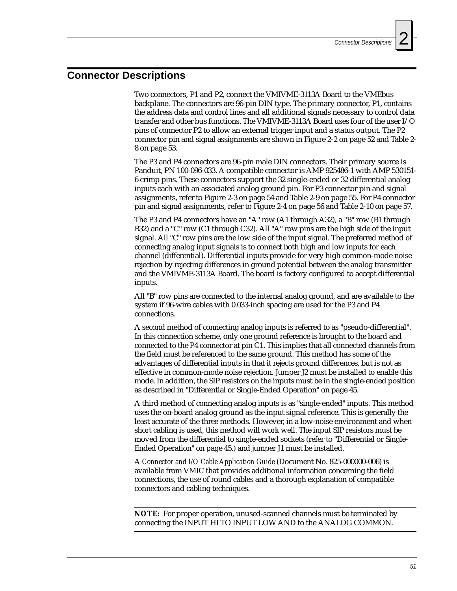### <span id="page-50-0"></span>**Connector Descriptions**

Two connectors, P1 and P2, connect the VMIVME-3113A Board to the VMEbus backplane. The connectors are 96-pin DIN type. The primary connector, P1, contains the address data and control lines and all additional signals necessary to control data transfer and other bus functions. The VMIVME-3113A Board uses four of the user I/O pins of connector P2 to allow an external trigger input and a status output. The P2 connector pin and signal assignments are shown in [Figure 2-2 on page 52](#page-51-0) and [Table 2-](#page-52-0) [8 on page 53](#page-52-0).

The P3 and P4 connectors are 96-pin male DIN connectors. Their primary source is Panduit, PN 100-096-033. A compatible connector is AMP 925486-1 with AMP 530151- 6 crimp pins. These connectors support the 32 single-ended or 32 differential analog inputs each with an associated analog ground pin. For P3 connector pin and signal assignments, refer to [Figure 2-3 on page 54](#page-53-0) and [Table 2-9 on page 55](#page-54-0). For P4 connector pin and signal assignments, refer to [Figure 2-4 on page 56](#page-55-0) and [Table 2-10 on page 57.](#page-56-0)

The P3 and P4 connectors have an "A" row (A1 through A32), a "B" row (B1 through B32) and a "C" row (C1 through C32). All "A" row pins are the high side of the input signal. All "C" row pins are the low side of the input signal. The preferred method of connecting analog input signals is to connect both high and low inputs for each channel (differential). Differential inputs provide for very high common-mode noise rejection by rejecting differences in ground potential between the analog transmitter and the VMIVME-3113A Board. The board is factory configured to accept differential inputs.

All "B" row pins are connected to the internal analog ground, and are available to the system if 96-wire cables with 0.033-inch spacing are used for the P3 and P4 connections.

A second method of connecting analog inputs is referred to as "pseudo-differential". In this connection scheme, only one ground reference is brought to the board and connected to the P4 connector at pin C1. This implies that all connected channels from the field must be referenced to the same ground. This method has some of the advantages of differential inputs in that it rejects ground differences, but is not as effective in common-mode noise rejection. Jumper J2 must be installed to enable this mode. In addition, the SIP resistors on the inputs must be in the single-ended position as described in ["Differential or Single-Ended Operation" on page 45.](#page-44-0)

A third method of connecting analog inputs is as "single-ended" inputs. This method uses the on-board analog ground as the input signal reference. This is generally the least accurate of the three methods. However, in a low-noise environment and when short cabling is used, this method will work well. The input SIP resistors must be moved from the differential to single-ended sockets (refer to ["Differential or Single-](#page-44-0)[Ended Operation" on page 45](#page-44-0).) and jumper J1 must be installed.

A *Connector and I/O Cable Application Guide* (Document No. 825-000000-006) is available from VMIC that provides additional information concerning the field connections, the use of round cables and a thorough explanation of compatible connectors and cabling techniques.

**NOTE:** For proper operation, unused-scanned channels must be terminated by connecting the INPUT HI TO INPUT LOW AND to the ANALOG COMMON.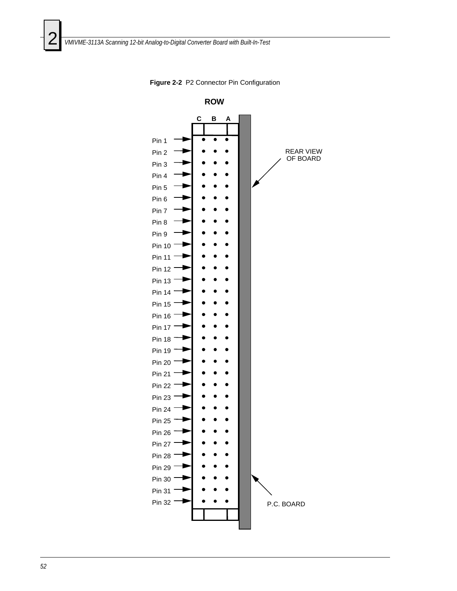<span id="page-51-0"></span>

**Figure 2-2** P2 Connector Pin Configuration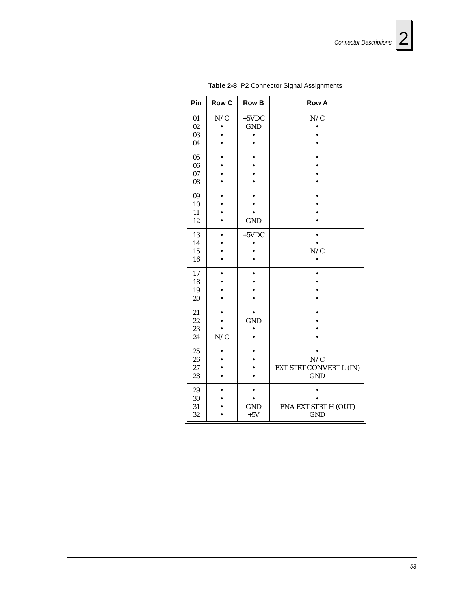

<span id="page-52-0"></span>

| Pin | <b>Row C</b> | <b>Row B</b> | <b>Row A</b>            |
|-----|--------------|--------------|-------------------------|
| 01  | N/C          | $+5$ VDC     | N/C                     |
| 02  |              | <b>GND</b>   |                         |
| 03  |              |              |                         |
| 04  |              |              |                         |
| 05  |              |              |                         |
| 06  |              |              |                         |
| 07  |              |              |                         |
| 08  |              |              |                         |
| 09  |              |              |                         |
| 10  |              |              |                         |
| 11  |              |              |                         |
| 12  |              | <b>GND</b>   |                         |
| 13  |              | $+5$ VDC     |                         |
| 14  |              |              |                         |
| 15  |              |              | N/C                     |
| 16  |              |              |                         |
| 17  |              |              |                         |
| 18  |              |              |                         |
| 19  |              |              |                         |
| 20  |              |              |                         |
| 21  |              |              |                         |
| 22  |              | <b>GND</b>   |                         |
| 23  |              |              |                         |
| 24  | N/C          |              |                         |
| 25  |              |              |                         |
| 26  |              |              | N/C                     |
| 27  |              |              | EXT STRT CONVERT L (IN) |
| 28  |              |              | <b>GND</b>              |
| 29  |              |              |                         |
| 30  |              |              |                         |
| 31  |              | <b>GND</b>   | ENA EXT STRT H (OUT)    |
| 32  |              | $+5V$        | <b>GND</b>              |

**Table 2-8** P2 Connector Signal Assignments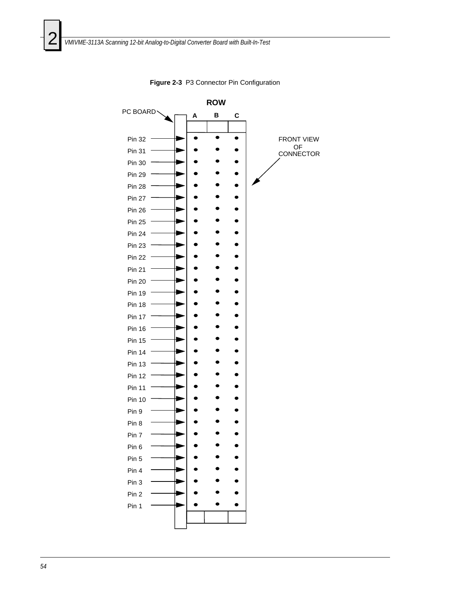<span id="page-53-0"></span>

**Figure 2-3** P3 Connector Pin Configuration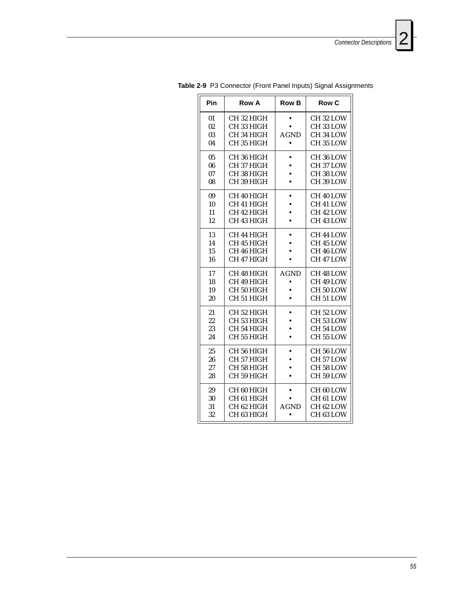| Pin | <b>Row A</b>          | <b>Row B</b> | <b>Row C</b>         |
|-----|-----------------------|--------------|----------------------|
| 01  | CH 32 HIGH            |              | CH 32 LOW            |
| 02  | CH 33 HIGH            |              | CH <sub>33</sub> LOW |
| 03  | CH 34 HIGH            | <b>AGND</b>  | CH <sub>34</sub> LOW |
| 04  | CH 35 HIGH            |              | CH <sub>35</sub> LOW |
| 05  | CH 36 HIGH            |              | CH <sub>36</sub> LOW |
| 06  | CH 37 HIGH            |              | CH <sub>37</sub> LOW |
| 07  | CH 38 HIGH            |              | CH <sub>38</sub> LOW |
| 08  | CH 39 HIGH            |              | CH <sub>39</sub> LOW |
| 09  | CH 40 HIGH            |              | CH <sub>40</sub> LOW |
| 10  | CH 41 HIGH            |              | CH <sub>41</sub> LOW |
| 11  | CH 42 HIGH            |              | CH <sub>42</sub> LOW |
| 12  | CH 43 HIGH            |              | CH <sub>43</sub> LOW |
| 13  | CH 44 HIGH            |              | CH <sub>44</sub> LOW |
| 14  | CH 45 HIGH            |              | CH <sub>45</sub> LOW |
| 15  | CH 46 HIGH            |              | CH 46 LOW            |
| 16  | CH 47 HIGH            |              | CH <sub>47</sub> LOW |
| 17  | CH 48 HIGH            | <b>AGND</b>  | CH <sub>48</sub> LOW |
| 18  | CH 49 HIGH            |              | CH <sub>49</sub> LOW |
| 19  | CH 50 HIGH            |              | CH <sub>50</sub> LOW |
| 20  | CH 51 HIGH            |              | CH <sub>51</sub> LOW |
| 21  | CH 52 HIGH            |              | CH <sub>52</sub> LOW |
| 22  | CH 53 HIGH            |              | CH <sub>53</sub> LOW |
| 23  | CH 54 HIGH            |              | CH <sub>54</sub> LOW |
| 24  | CH 55 HIGH            |              | CH <sub>55</sub> LOW |
| 25  | CH 56 HIGH            |              | CH <sub>56</sub> LOW |
| 26  | CH 57 HIGH            |              | CH <sub>57</sub> LOW |
| 27  | CH 58 HIGH            |              | CH <sub>58</sub> LOW |
| 28  | CH 59 HIGH            |              | CH <sub>59</sub> LOW |
| 29  | CH <sub>60</sub> HIGH |              | CH <sub>60</sub> LOW |
| 30  | CH <sub>61</sub> HIGH |              | CH <sub>61</sub> LOW |
| 31  | CH 62 HIGH            | <b>AGND</b>  | CH <sub>62</sub> LOW |
| 32  | CH 63 HIGH            |              | CH <sub>63</sub> LOW |

<span id="page-54-0"></span>**Table 2-9** P3 Connector (Front Panel Inputs) Signal Assignments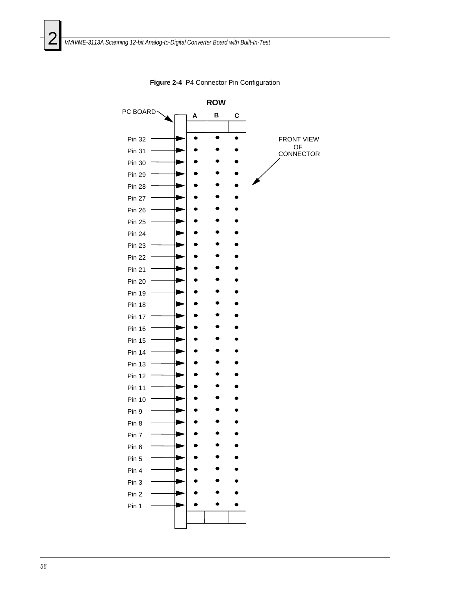<span id="page-55-0"></span>

**Figure 2-4** P4 Connector Pin Configuration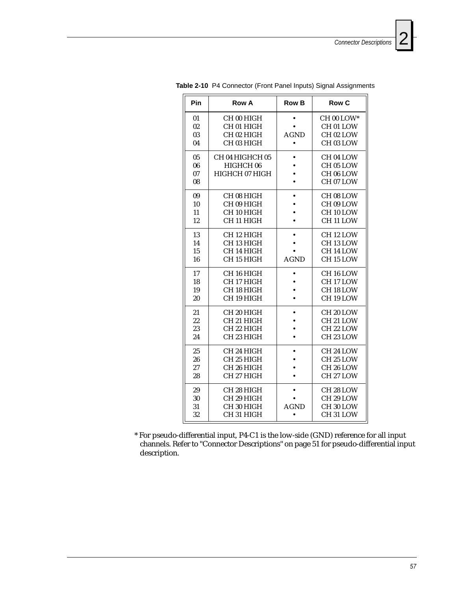| Pin            | <b>Row A</b>                          | <b>Row B</b> | <b>Row C</b>          |
|----------------|---------------------------------------|--------------|-----------------------|
| 01             | CH 00 HIGH                            |              | CH <sub>00</sub> LOW* |
| 0 <sub>2</sub> | CH <sub>01</sub> HIGH                 |              | CH <sub>01</sub> LOW  |
| 03             | CH <sub>02</sub> HIGH                 | <b>AGND</b>  | CH <sub>02</sub> LOW  |
| 04             | CH 03 HIGH                            |              | CH <sub>03</sub> LOW  |
| 05             | CH <sub>04</sub> HIGHCH <sub>05</sub> |              | CH <sub>04</sub> LOW  |
| 06             | HIGHCH <sub>06</sub>                  |              | CH <sub>05</sub> LOW  |
| 07             | HIGHCH 07 HIGH                        |              | CH <sub>06</sub> LOW  |
| 08             |                                       |              | CH <sub>07</sub> LOW  |
| 09             | CH 08 HIGH                            |              | CH <sub>08</sub> LOW  |
| 10             | CH 09 HIGH                            |              | CH <sub>09</sub> LOW  |
| 11             | CH 10 HIGH                            |              | CH <sub>10</sub> LOW  |
| 12             | CH 11 HIGH                            |              | CH <sub>11</sub> LOW  |
| 13             | CH 12 HIGH                            |              | CH <sub>12</sub> LOW  |
| 14             | CH 13 HIGH                            |              | CH <sub>13</sub> LOW  |
| 15             | CH 14 HIGH                            |              | CH <sub>14</sub> LOW  |
| 16             | CH 15 HIGH                            | <b>AGND</b>  | CH <sub>15</sub> LOW  |
| 17             | CH 16 HIGH                            |              | CH <sub>16</sub> LOW  |
| 18             | CH 17 HIGH                            |              | CH <sub>17</sub> LOW  |
| 19             | CH 18 HIGH                            |              | CH <sub>18</sub> LOW  |
| 20             | CH 19 HIGH                            |              | CH <sub>19</sub> LOW  |
| 21             | CH <sub>20</sub> HIGH                 |              | CH <sub>20</sub> LOW  |
| 22             | CH <sub>21</sub> HIGH                 |              | CH <sub>21</sub> LOW  |
| 23             | CH <sub>22</sub> HIGH                 |              | CH <sub>22</sub> LOW  |
| 24             | CH 23 HIGH                            |              | CH <sub>23</sub> LOW  |
| 25             | CH <sub>24</sub> HIGH                 |              | CH <sub>24</sub> LOW  |
| 26             | CH <sub>25</sub> HIGH                 |              | CH <sub>25</sub> LOW  |
| 27             | CH 26 HIGH                            |              | CH <sub>26</sub> LOW  |
| 28             | CH 27 HIGH                            |              | CH <sub>27</sub> LOW  |
| 29             | CH 28 HIGH                            |              | CH <sub>28</sub> LOW  |
| 30             | CH 29 HIGH                            |              | CH <sub>29</sub> LOW  |
| 31             | CH 30 HIGH                            | <b>AGND</b>  | CH <sub>30</sub> LOW  |
| 32             | CH 31 HIGH                            |              | CH <sub>31</sub> LOW  |

<span id="page-56-0"></span>**Table 2-10** P4 Connector (Front Panel Inputs) Signal Assignments

\* For pseudo-differential input, P4-C1 is the low-side (GND) reference for all input channels. Refer to ["Connector Descriptions" on page 51](#page-50-0) for pseudo-differential input description.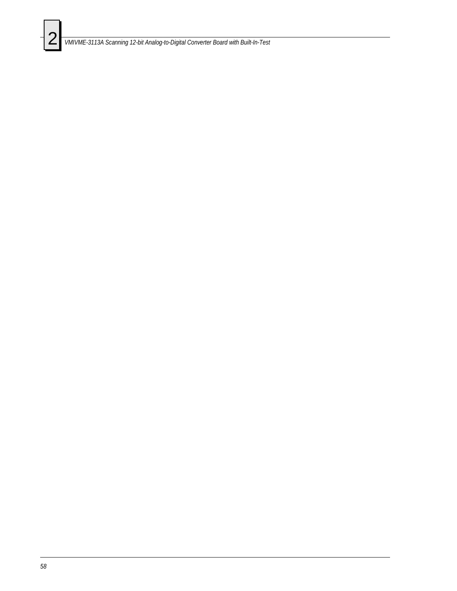

2 *VMIVME-3113A Scanning 12-bit Analog-to-Digital Converter Board with Built-In-Test*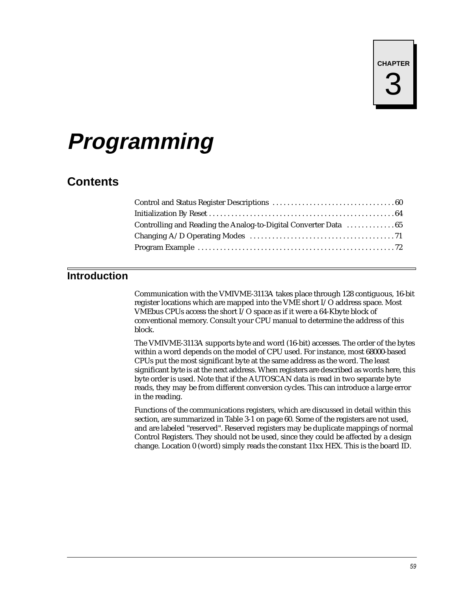# <span id="page-58-0"></span>**Programming**

### **Contents**

| Controlling and Reading the Analog-to-Digital Converter Data 65 |  |
|-----------------------------------------------------------------|--|
|                                                                 |  |
|                                                                 |  |

### **Introduction**

Communication with the VMIVME-3113A takes place through 128 contiguous, 16-bit register locations which are mapped into the VME short I/O address space. Most VMEbus CPUs access the short I/O space as if it were a 64-Kbyte block of conventional memory. Consult your CPU manual to determine the address of this block.

The VMIVME-3113A supports byte and word (16-bit) accesses. The order of the bytes within a word depends on the model of CPU used. For instance, most 68000-based CPUs put the most significant byte at the same address as the word. The least significant byte is at the next address. When registers are described as words here, this byte order is used. Note that if the AUTOSCAN data is read in two separate byte reads, they may be from different conversion cycles. This can introduce a large error in the reading.

Functions of the communications registers, which are discussed in detail within this section, are summarized in [Table 3-1 on page 60.](#page-59-1) Some of the registers are not used, and are labeled "reserved". Reserved registers may be duplicate mappings of normal Control Registers. They should not be used, since they could be affected by a design change. Location 0 (word) simply reads the constant 11xx HEX. This is the board ID.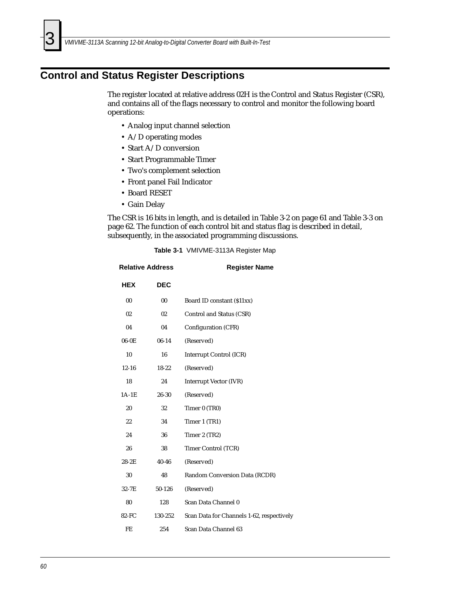### <span id="page-59-0"></span>**Control and Status Register Descriptions**

The register located at relative address 02H is the Control and Status Register (CSR), and contains all of the flags necessary to control and monitor the following board operations:

- Analog input channel selection
- A/D operating modes
- Start A/D conversion
- Start Programmable Timer
- Two's complement selection
- Front panel Fail Indicator
- Board RESET
- Gain Delay

<span id="page-59-1"></span>The CSR is 16 bits in length, and is detailed in [Table 3-2 on page 61](#page-60-0) and [Table 3-3 on](#page-61-0)  [page 62.](#page-61-0) The function of each control bit and status flag is described in detail, subsequently, in the associated programming discussions.

|  | Table 3-1 VMIVME-3113A Register Map |  |  |
|--|-------------------------------------|--|--|
|--|-------------------------------------|--|--|

| <b>Relative Address</b> |            | <b>Register Name</b>                      |  |  |
|-------------------------|------------|-------------------------------------------|--|--|
| <b>HEX</b>              | <b>DEC</b> |                                           |  |  |
| 00                      | 00         | Board ID constant (\$11xx)                |  |  |
| 02                      | 02         | Control and Status (CSR)                  |  |  |
| 04                      | 04         | Configuration (CFR)                       |  |  |
| 06-0E                   | $06 - 14$  | (Reserved)                                |  |  |
| 10                      | 16         | Interrupt Control (ICR)                   |  |  |
| $12 - 16$               | 18-22      | (Reserved)                                |  |  |
| 18                      | 24         | Interrupt Vector (IVR)                    |  |  |
| $1A-1E$                 | 26-30      | (Reserved)                                |  |  |
| 20                      | 32         | Timer 0 (TR0)                             |  |  |
| 22                      | 34         | Timer 1 (TR1)                             |  |  |
| 24                      | 36         | Timer 2 (TR2)                             |  |  |
| 26                      | 38         | Timer Control (TCR)                       |  |  |
| $28-2E$                 | $40 - 46$  | (Reserved)                                |  |  |
| 30                      | 48         | Random Conversion Data (RCDR)             |  |  |
| 32-7E                   | 50-126     | (Reserved)                                |  |  |
| 80                      | 128        | Scan Data Channel 0                       |  |  |
| 82-FC                   | 130-252    | Scan Data for Channels 1-62, respectively |  |  |
| FE                      | 254        | Scan Data Channel 63                      |  |  |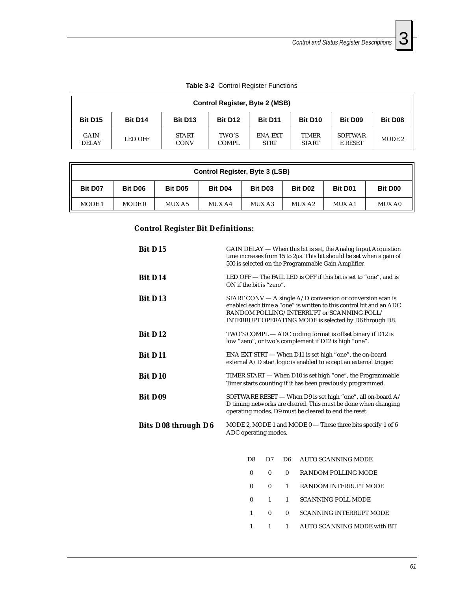<span id="page-60-0"></span>

| <b>Control Register, Byte 2 (MSB)</b> |                     |                             |                     |                               |                              |                           |                |  |  |
|---------------------------------------|---------------------|-----------------------------|---------------------|-------------------------------|------------------------------|---------------------------|----------------|--|--|
| Bit D <sub>15</sub>                   | Bit D <sub>14</sub> | Bit D <sub>13</sub>         | Bit D <sub>12</sub> | <b>Bit D11</b>                | Bit D <sub>10</sub>          | <b>Bit D09</b>            | <b>Bit D08</b> |  |  |
| <b>GAIN</b><br><b>DELAY</b>           | <b>LED OFF</b>      | <b>START</b><br><b>CONV</b> | TWO'S<br>COMPL.     | <b>ENA EXT</b><br><b>STRT</b> | <b>TIMER</b><br><b>START</b> | SOFTWAR<br><b>E RESET</b> | MODE 2         |  |  |

**Table 3-2** Control Register Functions

| <b>Control Register, Byte 3 (LSB)</b> |                     |                |               |                |                     |                |                |  |  |
|---------------------------------------|---------------------|----------------|---------------|----------------|---------------------|----------------|----------------|--|--|
| Bit D07                               | Bit D <sub>06</sub> | <b>Bit D05</b> | Bit D04       | <b>Bit D03</b> | Bit D <sub>02</sub> | <b>Bit D01</b> | <b>Bit D00</b> |  |  |
| <b>MODE1</b>                          | MODE 0              | MUX A5         | <b>MUX A4</b> | MUX A3         | MUX A2              | MUX A1         | <b>MUX A0</b>  |  |  |

### **Control Register Bit Definitions:**

| Bit D <sub>15</sub>        | GAIN DELAY — When this bit is set, the Analog Input Acquistion<br>time increases from 15 to $2\mu s$ . This bit should be set when a gain of<br>500 is selected on the Programmable Gain Amplifier.                                         |  |              |              |                                                                                                                                                                                        |  |  |
|----------------------------|---------------------------------------------------------------------------------------------------------------------------------------------------------------------------------------------------------------------------------------------|--|--------------|--------------|----------------------------------------------------------------------------------------------------------------------------------------------------------------------------------------|--|--|
| Bit D14                    | ON if the bit is "zero".                                                                                                                                                                                                                    |  |              |              | LED OFF — The FAIL LED is OFF if this bit is set to "one", and is                                                                                                                      |  |  |
| Bit D13                    | START CONV $-$ A single A/D conversion or conversion scan is<br>enabled each time a "one" is written to this control bit and an ADC<br>RANDOM POLLING/INTERRUPT or SCANNING POLL/<br>INTERRUPT OPERATING MODE is selected by D6 through D8. |  |              |              |                                                                                                                                                                                        |  |  |
| Bit D12                    |                                                                                                                                                                                                                                             |  |              |              | TWO'S COMPL — ADC coding format is offset binary if D12 is<br>low "zero", or two's complement if D12 is high "one".                                                                    |  |  |
| Bit D11                    |                                                                                                                                                                                                                                             |  |              |              | ENA EXT STRT — When D11 is set high "one", the on-board<br>external A/D start logic is enabled to accept an external trigger.                                                          |  |  |
| Bit D <sub>10</sub>        |                                                                                                                                                                                                                                             |  |              |              | TIMER START — When D10 is set high "one", the Programmable<br>Timer starts counting if it has been previously programmed.                                                              |  |  |
| <b>Bit D09</b>             |                                                                                                                                                                                                                                             |  |              |              | SOFTWARE RESET - When D9 is set high "one", all on-board A/<br>D timing networks are cleared. This must be done when changing<br>operating modes. D9 must be cleared to end the reset. |  |  |
| <b>Bits D08 through D6</b> | ADC operating modes.                                                                                                                                                                                                                        |  |              |              | MODE 2, MODE 1 and MODE $0$ – These three bits specify 1 of 6                                                                                                                          |  |  |
|                            | D8                                                                                                                                                                                                                                          |  | D7           | D6           | <b>AUTO SCANNING MODE</b>                                                                                                                                                              |  |  |
|                            | $\bf{0}$                                                                                                                                                                                                                                    |  | $\bf{0}$     | $\bf{0}$     | <b>RANDOM POLLING MODE</b>                                                                                                                                                             |  |  |
|                            | $\bf{0}$                                                                                                                                                                                                                                    |  | $\bf{0}$     | $\mathbf{1}$ | <b>RANDOM INTERRUPT MODE</b>                                                                                                                                                           |  |  |
|                            | $\bf{0}$                                                                                                                                                                                                                                    |  | $\mathbf{1}$ | $\mathbf{1}$ | <b>SCANNING POLL MODE</b>                                                                                                                                                              |  |  |
|                            | $\mathbf{1}$                                                                                                                                                                                                                                |  | $\bf{0}$     | $\bf{0}$     | <b>SCANNING INTERRUPT MODE</b>                                                                                                                                                         |  |  |

1 1 1 AUTO SCANNING MODE with BIT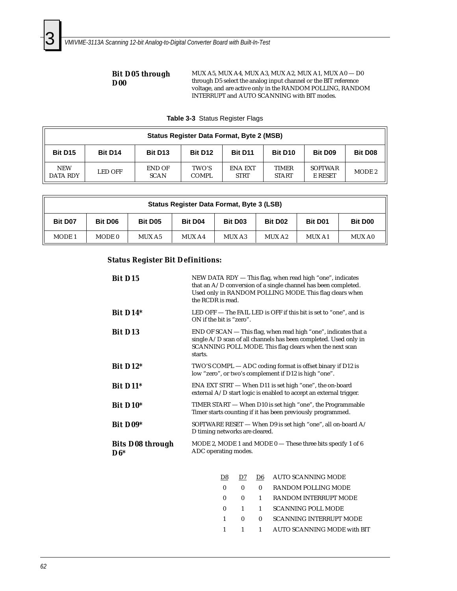#### **Bit D05 through D00** MUX A5, MUX A4, MUX A3, MUX A2, MUX A1, MUX A0 — D0 through D5 select the analog input channel or the BIT reference voltage, and are active only in the RANDOM POLLING, RANDOM INTERRUPT and AUTO SCANNING with BIT modes.

<span id="page-61-0"></span>

| <b>Status Register Data Format, Byte 2 (MSB)</b> |                     |                              |                       |                               |                              |                           |                |  |  |
|--------------------------------------------------|---------------------|------------------------------|-----------------------|-------------------------------|------------------------------|---------------------------|----------------|--|--|
| Bit D <sub>15</sub>                              | Bit D <sub>14</sub> | Bit D <sub>13</sub>          | Bit D <sub>12</sub>   | <b>Bit D11</b>                | Bit D <sub>10</sub>          | <b>Bit D09</b>            | <b>Bit D08</b> |  |  |
| <b>NEW</b><br><b>DATA RDY</b>                    | <b>LED OFF</b>      | <b>END OF</b><br><b>SCAN</b> | TWO'S<br><b>COMPL</b> | <b>ENA EXT</b><br><b>STRT</b> | <b>TIMER</b><br><b>START</b> | <b>SOFTWAR</b><br>E RESET | MODE 2         |  |  |

#### **Table 3-3** Status Register Flags

| Status Register Data Format, Byte 3 (LSB) |                   |                     |         |                |                     |                |                |  |  |
|-------------------------------------------|-------------------|---------------------|---------|----------------|---------------------|----------------|----------------|--|--|
| <b>Bit D07</b>                            | <b>Bit D06</b>    | Bit D <sub>05</sub> | Bit D04 | <b>Bit D03</b> | Bit D <sub>02</sub> | <b>Bit D01</b> | <b>Bit D00</b> |  |  |
| <b>MODE1</b>                              | MODE <sub>0</sub> | MUX A5              | MUX A4  | MUX A3         | MUX A2              | <b>MUX A1</b>  | <b>MUX A0</b>  |  |  |

### **Status Register Bit Definitions:**

| Bit D15                                    | NEW DATA RDY — This flag, when read high "one", indicates<br>that an A/D conversion of a single channel has been completed.<br>Used only in RANDOM POLLING MODE. This flag clears when<br>the RCDR is read. |  |  |
|--------------------------------------------|-------------------------------------------------------------------------------------------------------------------------------------------------------------------------------------------------------------|--|--|
| Bit $D14^*$                                | LED OFF $-$ The FAIL LED is OFF if this bit is set to "one", and is<br>ON if the bit is "zero".                                                                                                             |  |  |
| Bit D13                                    | $END OF SCAN - This flag, when read high "one", indicates that a$<br>single A/D scan of all channels has been completed. Used only in<br>SCANNING POLL MODE. This flag clears when the next scan<br>starts. |  |  |
| Bit D12*                                   | TWO'S COMPL — ADC coding format is offset binary if D12 is<br>low "zero", or two's complement if D12 is high "one".                                                                                         |  |  |
| Bit D11*                                   | ENA EXT STRT — When D11 is set high "one", the on-board<br>external A/D start logic is enabled to accept an external trigger.                                                                               |  |  |
| Bit D10*                                   | TIMER START — When D10 is set high "one", the Programmable<br>Timer starts counting if it has been previously programmed.                                                                                   |  |  |
| Bit D09*                                   | SOFTWARE RESET — When D9 is set high "one", all on-board A/<br>D timing networks are cleared.                                                                                                               |  |  |
| <b>Bits D08 through</b><br>$\mathbf{D6}^*$ | MODE 2, MODE 1 and MODE $0$ – These three bits specify 1 of 6<br>ADC operating modes.                                                                                                                       |  |  |
|                                            | <b>AUTO SCANNING MODE</b><br>D8<br>D7<br>D6                                                                                                                                                                 |  |  |
|                                            | --------------------                                                                                                                                                                                        |  |  |

| D8           | D7.          |   | D6 AUTO SCANNING MODE          |
|--------------|--------------|---|--------------------------------|
| $\bf{0}$     | $\mathbf{0}$ | 0 | <b>RANDOM POLLING MODE</b>     |
| 0            |              | 1 | RANDOM INTERRUPT MODE          |
| $\mathbf{0}$ |              | 1 | <b>SCANNING POLL MODE</b>      |
| 1            |              | 0 | <b>SCANNING INTERRUPT MODE</b> |
|              |              |   | AUTO SCANNING MODE with BIT    |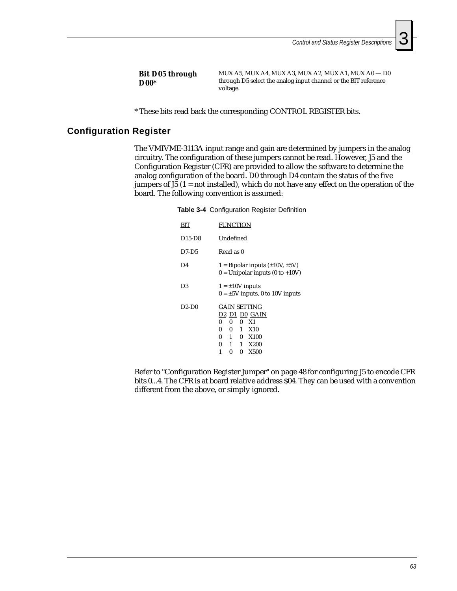| Bit D05 through | MUX A5, MUX A4, MUX A3, MUX A2, MUX A1, MUX A0 - D0             |
|-----------------|-----------------------------------------------------------------|
| D00*            | through D5 select the analog input channel or the BIT reference |
|                 | voltage.                                                        |

\* These bits read back the corresponding CONTROL REGISTER bits.

### <span id="page-62-0"></span>**Configuration Register**

The VMIVME-3113A input range and gain are determined by jumpers in the analog circuitry. The configuration of these jumpers cannot be read. However, J5 and the Configuration Register (CFR) are provided to allow the software to determine the analog configuration of the board. D0 through D4 contain the status of the five jumpers of J5 (1 = not installed), which do not have any effect on the operation of the board. The following convention is assumed:

**Table 3-4** Configuration Register Definition

| BſТ      | FUNCTION                                                                                                                                                       |
|----------|----------------------------------------------------------------------------------------------------------------------------------------------------------------|
| $D15-D8$ | Undefined                                                                                                                                                      |
| $D7-D5$  | Read as 0                                                                                                                                                      |
| D4       | 1 = Bipolar inputs $(\pm 10V, \pm 5V)$<br>$0 =$ Unipolar inputs (0 to +10V)                                                                                    |
| D3       | $1 = \pm 10V$ inputs<br>$0 = \pm 5V$ inputs, 0 to 10V inputs                                                                                                   |
| $D2-D0$  | GAIN SETTING<br>D2 D1 D0 GAIN<br>0<br>$\bf{0}$<br>X1<br>0<br>0<br>X10<br>0<br>1<br>$1 \quad$<br>0 X100<br>0<br>$1 \quad$<br>1 X200<br>0<br>1<br>0<br>0<br>X500 |

Refer to ["Configuration Register Jumper" on page 48](#page-47-1) for configuring J5 to encode CFR bits 0...4. The CFR is at board relative address \$04. They can be used with a convention different from the above, or simply ignored.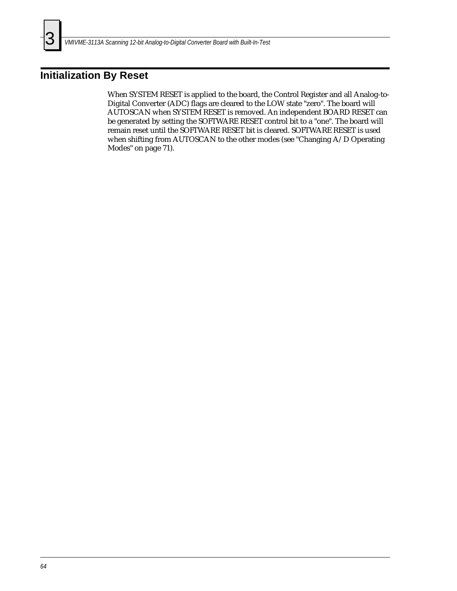

### <span id="page-63-0"></span>**Initialization By Reset**

When SYSTEM RESET is applied to the board, the Control Register and all Analog-to-Digital Converter (ADC) flags are cleared to the LOW state "zero". The board will AUTOSCAN when SYSTEM RESET is removed. An independent BOARD RESET can be generated by setting the SOFTWARE RESET control bit to a "one". The board will remain reset until the SOFTWARE RESET bit is cleared. SOFTWARE RESET is used when shifting from AUTOSCAN to the other modes (see ["Changing A/D Operating](#page-70-0)  [Modes" on page 71\)](#page-70-0).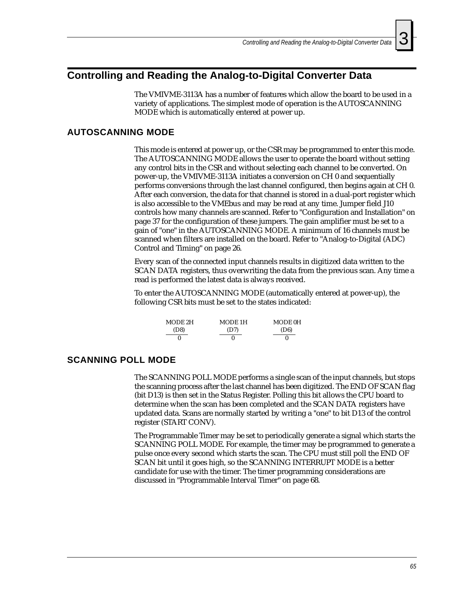### <span id="page-64-0"></span>**Controlling and Reading the Analog-to-Digital Converter Data**

The VMIVME-3113A has a number of features which allow the board to be used in a variety of applications. The simplest mode of operation is the AUTOSCANNING MODE which is automatically entered at power up.

### **AUTOSCANNING MODE**

This mode is entered at power up, or the CSR may be programmed to enter this mode. The AUTOSCANNING MODE allows the user to operate the board without setting any control bits in the CSR and without selecting each channel to be converted. On power-up, the VMIVME-3113A initiates a conversion on CH 0 and sequentially performs conversions through the last channel configured, then begins again at CH 0. After each conversion, the data for that channel is stored in a dual-port register which is also accessible to the VMEbus and may be read at any time. Jumper field J10 controls how many channels are scanned. Refer to ["Configuration and Installation" on](#page-36-0)  [page 37](#page-36-0) for the configuration of these jumpers. The gain amplifier must be set to a gain of "one" in the AUTOSCANNING MODE. A minimum of 16 channels must be scanned when filters are installed on the board. Refer to ["Analog-to-Digital \(ADC\)](#page-25-0)  [Control and Timing" on page 26](#page-25-0).

Every scan of the connected input channels results in digitized data written to the SCAN DATA registers, thus overwriting the data from the previous scan. Any time a read is performed the latest data is always received.

To enter the AUTOSCANNING MODE (automatically entered at power-up), the following CSR bits must be set to the states indicated:

| MODE 2H | MODE 1H | MODE 0H           |
|---------|---------|-------------------|
| (D8)    | (D7)    | (D <sub>6</sub> ) |
|         |         |                   |

### **SCANNING POLL MODE**

The SCANNING POLL MODE performs a single scan of the input channels, but stops the scanning process after the last channel has been digitized. The END OF SCAN flag (bit D13) is then set in the Status Register. Polling this bit allows the CPU board to determine when the scan has been completed and the SCAN DATA registers have updated data. Scans are normally started by writing a "one" to bit D13 of the control register (START CONV).

The Programmable Timer may be set to periodically generate a signal which starts the SCANNING POLL MODE. For example, the timer may be programmed to generate a pulse once every second which starts the scan. The CPU must still poll the END OF SCAN bit until it goes high, so the SCANNING INTERRUPT MODE is a better candidate for use with the timer. The timer programming considerations are discussed in ["Programmable Interval Timer" on page 68.](#page-67-1)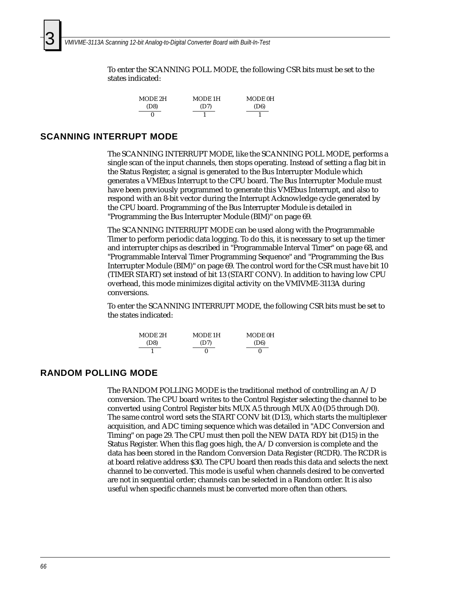To enter the SCANNING POLL MODE, the following CSR bits must be set to the states indicated:

| MODE 2H | MODE 1H | MODE 0H           |
|---------|---------|-------------------|
| (D8)    | (D7)    | (D <sub>6</sub> ) |
|         |         |                   |

#### **SCANNING INTERRUPT MODE**

The SCANNING INTERRUPT MODE, like the SCANNING POLL MODE, performs a single scan of the input channels, then stops operating. Instead of setting a flag bit in the Status Register, a signal is generated to the Bus Interrupter Module which generates a VMEbus Interrupt to the CPU board. The Bus Interrupter Module must have been previously programmed to generate this VMEbus Interrupt, and also to respond with an 8-bit vector during the Interrupt Acknowledge cycle generated by the CPU board. Programming of the Bus Interrupter Module is detailed in ["Programming the Bus Interrupter Module \(BIM\)" on page 69](#page-68-0).

The SCANNING INTERRUPT MODE can be used along with the Programmable Timer to perform periodic data logging. To do this, it is necessary to set up the timer and interrupter chips as described in ["Programmable Interval Timer" on page 68,](#page-67-1) and ["Programmable Interval Timer Programming Sequence"](#page-68-1) and ["Programming the Bus](#page-68-0)  [Interrupter Module \(BIM\)" on page 69](#page-68-0). The control word for the CSR must have bit 10 (TIMER START) set instead of bit 13 (START CONV). In addition to having low CPU overhead, this mode minimizes digital activity on the VMIVME-3113A during conversions.

To enter the SCANNING INTERRUPT MODE, the following CSR bits must be set to the states indicated:

| MODE 2H | MODE 1H | MODE 0H           |
|---------|---------|-------------------|
| (D8)    | (D7)    | (D <sub>6</sub> ) |
|         |         |                   |

#### **RANDOM POLLING MODE**

The RANDOM POLLING MODE is the traditional method of controlling an A/D conversion. The CPU board writes to the Control Register selecting the channel to be converted using Control Register bits MUX A5 through MUX A0 (D5 through D0). The same control word sets the START CONV bit (D13), which starts the multiplexer acquisition, and ADC timing sequence which was detailed in ["ADC Conversion and](#page-28-0)  [Timing" on page 29.](#page-28-0) The CPU must then poll the NEW DATA RDY bit (D15) in the Status Register. When this flag goes high, the A/D conversion is complete and the data has been stored in the Random Conversion Data Register (RCDR). The RCDR is at board relative address \$30. The CPU board then reads this data and selects the next channel to be converted. This mode is useful when channels desired to be converted are not in sequential order; channels can be selected in a Random order. It is also useful when specific channels must be converted more often than others.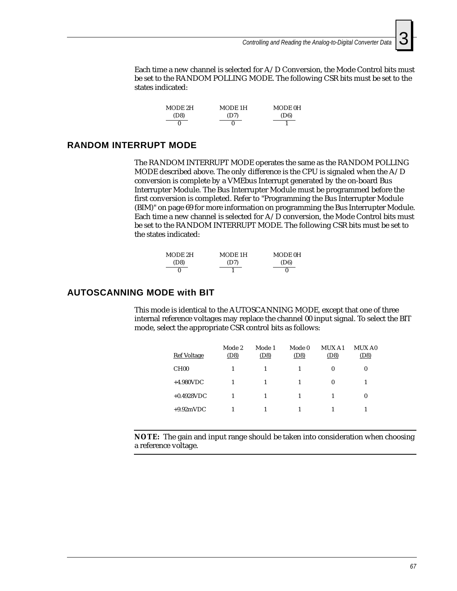Each time a new channel is selected for A/D Conversion, the Mode Control bits must be set to the RANDOM POLLING MODE. The following CSR bits must be set to the states indicated:

> MODE 2H (D8) 0 MODE 1H (D7) 0 MODE 0H (D6) 1

#### **RANDOM INTERRUPT MODE**

The RANDOM INTERRUPT MODE operates the same as the RANDOM POLLING MODE described above. The only difference is the CPU is signaled when the A/D conversion is complete by a VMEbus Interrupt generated by the on-board Bus Interrupter Module. The Bus Interrupter Module must be programmed before the first conversion is completed. Refer to ["Programming the Bus Interrupter Module](#page-68-0)  [\(BIM\)" on page 69](#page-68-0) for more information on programming the Bus Interrupter Module. Each time a new channel is selected for A/D conversion, the Mode Control bits must be set to the RANDOM INTERRUPT MODE. The following CSR bits must be set to the states indicated:

| MODE 2H           | MODE 1H | MODE 0H           |
|-------------------|---------|-------------------|
| (D <sub>8</sub> ) | (D7)    | (D <sub>6</sub> ) |
|                   |         |                   |

### **AUTOSCANNING MODE with BIT**

This mode is identical to the AUTOSCANNING MODE, except that one of three internal reference voltages may replace the channel 00 input signal. To select the BIT mode, select the appropriate CSR control bits as follows:

| <b>Ref Voltage</b> | Mode 2<br>(D8) | Mode 1<br>(D8) | Mode 0<br>(D8) | MUX A1<br>(D8) | MUX A0<br>(D8) |
|--------------------|----------------|----------------|----------------|----------------|----------------|
| CH00               |                |                | 1              | $\bf{0}$       | 0              |
| $+4.980$ VDC       | 1              |                | 1              | $\bf{0}$       |                |
| $+0.4928$ VDC      |                |                | 1              |                | 0              |
| $+9.92$ mVDC       |                |                |                |                |                |

**NOTE:** The gain and input range should be taken into consideration when choosing a reference voltage.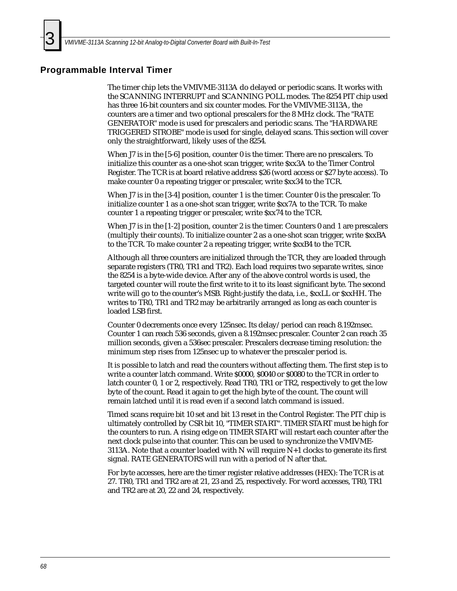### <span id="page-67-1"></span><span id="page-67-0"></span>**Programmable Interval Timer**

The timer chip lets the VMIVME-3113A do delayed or periodic scans. It works with the SCANNING INTERRUPT and SCANNING POLL modes. The 8254 PIT chip used has three 16-bit counters and six counter modes. For the VMIVME-3113A, the counters are a timer and two optional prescalers for the 8 MHz clock. The "RATE GENERATOR" mode is used for prescalers and periodic scans. The "HARDWARE TRIGGERED STROBE" mode is used for single, delayed scans. This section will cover only the straightforward, likely uses of the 8254.

When J7 is in the [5-6] position, counter 0 is the timer. There are no prescalers. To initialize this counter as a one-shot scan trigger, write \$xx3A to the Timer Control Register. The TCR is at board relative address \$26 (word access or \$27 byte access). To make counter 0 a repeating trigger or prescaler, write \$xx34 to the TCR.

When J7 is in the [3-4] position, counter 1 is the timer. Counter 0 is the prescaler. To initialize counter 1 as a one-shot scan trigger, write \$xx7A to the TCR. To make counter 1 a repeating trigger or prescaler, write \$xx74 to the TCR.

When J7 is in the [1-2] position, counter 2 is the timer. Counters 0 and 1 are prescalers (multiply their counts). To initialize counter 2 as a one-shot scan trigger, write \$xxBA to the TCR. To make counter 2 a repeating trigger, write \$xxB4 to the TCR.

Although all three counters are initialized through the TCR, they are loaded through separate registers (TR0, TR1 and TR2). Each load requires two separate writes, since the 8254 is a byte-wide device. After any of the above control words is used, the targeted counter will route the first write to it to its least significant byte. The second write will go to the counter's MSB. Right-justify the data, i.e., \$xxLL or \$xxHH. The writes to TR0, TR1 and TR2 may be arbitrarily arranged as long as each counter is loaded LSB first.

Counter 0 decrements once every 125nsec. Its delay/period can reach 8.192msec. Counter 1 can reach 536 seconds, given a 8.192msec prescaler. Counter 2 can reach 35 million seconds, given a 536sec prescaler. Prescalers decrease timing resolution: the minimum step rises from 125nsec up to whatever the prescaler period is.

It is possible to latch and read the counters without affecting them. The first step is to write a counter latch command. Write \$0000, \$0040 or \$0080 to the TCR in order to latch counter 0, 1 or 2, respectively. Read TR0, TR1 or TR2, respectively to get the low byte of the count. Read it again to get the high byte of the count. The count will remain latched until it is read even if a second latch command is issued.

Timed scans require bit 10 set and bit 13 reset in the Control Register. The PIT chip is ultimately controlled by CSR bit 10, "TIMER START". TIMER START must be high for the counters to run. A rising edge on TIMER START will restart each counter after the next clock pulse into that counter. This can be used to synchronize the VMIVME-3113A. Note that a counter loaded with N will require  $N+1$  clocks to generate its first signal. RATE GENERATORS will run with a period of N after that.

For byte accesses, here are the timer register relative addresses (HEX): The TCR is at 27. TR0, TR1 and TR2 are at 21, 23 and 25, respectively. For word accesses, TR0, TR1 and TR2 are at 20, 22 and 24, respectively.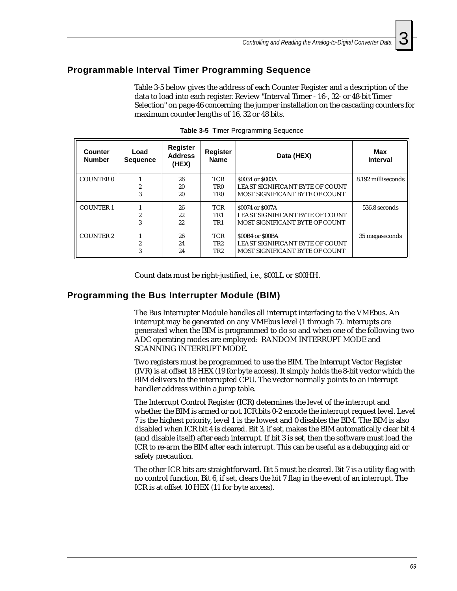### <span id="page-68-1"></span>**Programmable Interval Timer Programming Sequence**

[Table 3-5](#page-68-2) below gives the address of each Counter Register and a description of the data to load into each register. Review ["Interval Timer - 16-, 32- or 48-bit Timer](#page-45-2)  [Selection" on page 46](#page-45-2) concerning the jumper installation on the cascading counters for maximum counter lengths of 16, 32 or 48 bits.

<span id="page-68-2"></span>

| Counter<br><b>Number</b> | Load<br><b>Sequence</b> | Register<br><b>Address</b><br>(HEX) | Register<br><b>Name</b>                          | Data (HEX)                                                                                   | Max<br><b>Interval</b> |
|--------------------------|-------------------------|-------------------------------------|--------------------------------------------------|----------------------------------------------------------------------------------------------|------------------------|
| <b>COUNTER 0</b>         | 2<br>3                  | 26<br>20<br>20                      | <b>TCR</b><br>TR <sub>0</sub><br>TR <sub>0</sub> | \$0034 or \$003A<br>LEAST SIGNIFICANT BYTE OF COUNT<br>MOST SIGNIFICANT BYTE OF COUNT        | 8.192 milliseconds     |
| <b>COUNTER1</b>          | 3                       | 26<br>22<br>22                      | <b>TCR</b><br>TR <sub>1</sub><br>TR <sub>1</sub> | \$0074 or \$007A<br><b>LEAST SIGNIFICANT BYTE OF COUNT</b><br>MOST SIGNIFICANT BYTE OF COUNT | 536.8 seconds          |
| <b>COUNTER 2</b>         | $\overline{2}$<br>3     | 26<br>24<br>24                      | <b>TCR</b><br>TR <sub>2</sub><br>TR <sub>2</sub> | \$00B4 or \$00BA<br><b>LEAST SIGNIFICANT BYTE OF COUNT</b><br>MOST SIGNIFICANT BYTE OF COUNT | 35 megaseconds         |

**Table 3-5** Timer Programming Sequence

Count data must be right-justified, i.e., \$00LL or \$00HH.

### <span id="page-68-0"></span>**Programming the Bus Interrupter Module (BIM)**

The Bus Interrupter Module handles all interrupt interfacing to the VMEbus. An interrupt may be generated on any VMEbus level (1 through 7). Interrupts are generated when the BIM is programmed to do so and when one of the following two ADC operating modes are employed: RANDOM INTERRUPT MODE and SCANNING INTERRUPT MODE.

Two registers must be programmed to use the BIM. The Interrupt Vector Register (IVR) is at offset 18 HEX (19 for byte access). It simply holds the 8-bit vector which the BIM delivers to the interrupted CPU. The vector normally points to an interrupt handler address within a jump table.

The Interrupt Control Register (ICR) determines the level of the interrupt and whether the BIM is armed or not. ICR bits 0-2 encode the interrupt request level. Level 7 is the highest priority, level 1 is the lowest and 0 disables the BIM. The BIM is also disabled when ICR bit 4 is cleared. Bit 3, if set, makes the BIM automatically clear bit 4 (and disable itself) after each interrupt. If bit 3 is set, then the software must load the ICR to re-arm the BIM after each interrupt. This can be useful as a debugging aid or safety precaution.

The other ICR bits are straightforward. Bit 5 must be cleared. Bit 7 is a utility flag with no control function. Bit 6, if set, clears the bit 7 flag in the event of an interrupt. The ICR is at offset 10 HEX (11 for byte access).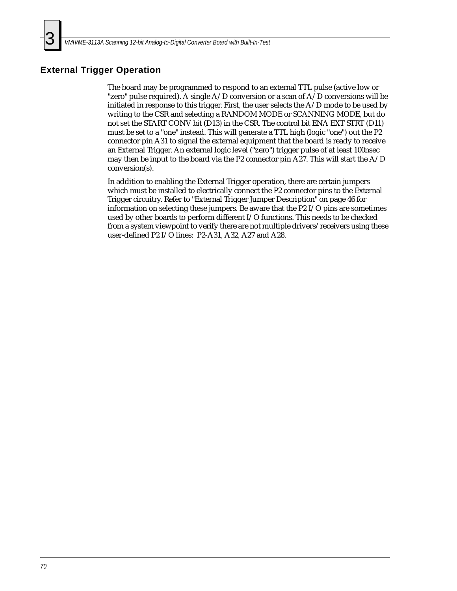### **External Trigger Operation**

The board may be programmed to respond to an external TTL pulse (active low or "zero" pulse required). A single  $A/D$  conversion or a scan of  $A/D$  conversions will be initiated in response to this trigger. First, the user selects the A/D mode to be used by writing to the CSR and selecting a RANDOM MODE or SCANNING MODE, but do not set the START CONV bit (D13) in the CSR. The control bit ENA EXT STRT (D11) must be set to a "one" instead. This will generate a TTL high (logic "one") out the P2 connector pin A31 to signal the external equipment that the board is ready to receive an External Trigger. An external logic level ("zero") trigger pulse of at least 100nsec may then be input to the board via the P2 connector pin A27. This will start the  $A/D$ conversion(s).

In addition to enabling the External Trigger operation, there are certain jumpers which must be installed to electrically connect the P2 connector pins to the External Trigger circuitry. Refer to ["External Trigger Jumper Description" on page 46](#page-45-3) for information on selecting these jumpers. Be aware that the P2 I/O pins are sometimes used by other boards to perform different I/O functions. This needs to be checked from a system viewpoint to verify there are not multiple drivers/receivers using these user-defined P2 I/O lines: P2-A31, A32, A27 and A28.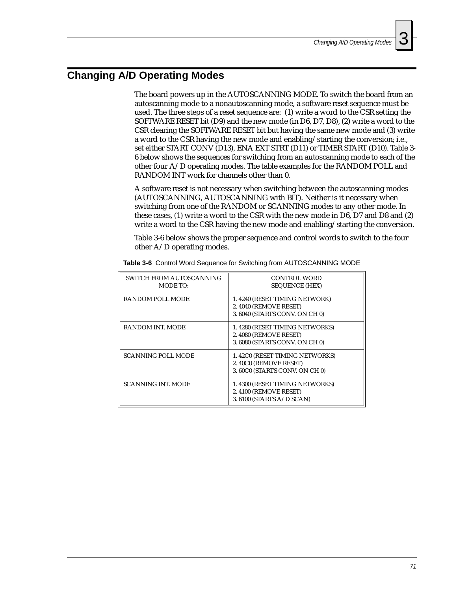### <span id="page-70-0"></span>**Changing A/D Operating Modes**

The board powers up in the AUTOSCANNING MODE. To switch the board from an autoscanning mode to a nonautoscanning mode, a software reset sequence must be used. The three steps of a reset sequence are: (1) write a word to the CSR setting the SOFTWARE RESET bit (D9) and the new mode (in D6, D7, D8), (2) write a word to the CSR clearing the SOFTWARE RESET bit but having the same new mode and (3) write a word to the CSR having the new mode and enabling/starting the conversion; i.e., set either START CONV (D13), ENA EXT STRT (D11) or TIMER START (D10). [Table 3-](#page-70-1) [6](#page-70-1) below shows the sequences for switching from an autoscanning mode to each of the other four A/D operating modes. The table examples for the RANDOM POLL and RANDOM INT work for channels other than 0.

A software reset is not necessary when switching between the autoscanning modes (AUTOSCANNING, AUTOSCANNING with BIT). Neither is it necessary when switching from one of the RANDOM or SCANNING modes to any other mode. In these cases, (1) write a word to the CSR with the new mode in D6, D7 and D8 and (2) write a word to the CSR having the new mode and enabling/starting the conversion.

[Table 3-6](#page-70-1) below shows the proper sequence and control words to switch to the four other A/D operating modes.

<span id="page-70-1"></span>

| SWITCH FROM AUTOSCANNING<br>MODE TO: | CONTROL WORD<br><b>SEQUENCE (HEX)</b>                                                    |
|--------------------------------------|------------------------------------------------------------------------------------------|
| RANDOM POLL MODE                     | 1.4240 (RESET TIMING NETWORK)<br>2.4040 (REMOVE RESET)<br>3.6040 (STARTS CONV. ON CH 0)  |
| <b>RANDOM INT. MODE</b>              | 1.4280 (RESET TIMING NETWORKS)<br>2.4080 (REMOVE RESET)<br>3.6080 (STARTS CONV. ON CH 0) |
| <b>SCANNING POLL MODE</b>            | 1.42C0 (RESET TIMING NETWORKS)<br>2.40C0 (REMOVE RESET)<br>3.60C0 (STARTS CONV. ON CH0)  |
| <b>SCANNING INT. MODE</b>            | 1.4300 (RESET TIMING NETWORKS)<br>2.4100 (REMOVE RESET)<br>3.6100 (STARTS A/D SCAN)      |

**Table 3-6** Control Word Sequence for Switching from AUTOSCANNING MODE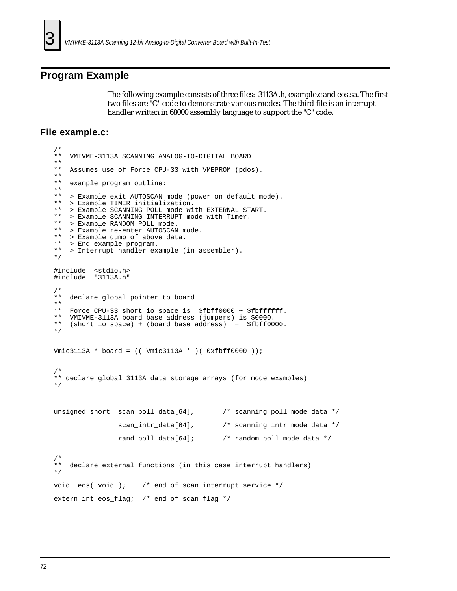### <span id="page-71-0"></span>**Program Example**

The following example consists of three files: 3113A.h, example.c and eos.sa. The first two files are "C" code to demonstrate various modes. The third file is an interrupt handler written in 68000 assembly language to support the "C" code.

#### **File example.c:**

```
/ *<br>**
    VMIVME-3113A SCANNING ANALOG-TO-DIGITAL BOARD
**
    Assumes use of Force CPU-33 with VMEPROM (pdos).
**
   example program outline:
**
   > Example exit AUTOSCAN mode (power on default mode).
** > Example TIMER initialization.
** > Example SCANNING POLL mode with EXTERNAL START.
** > Example SCANNING INTERRUPT mode with Timer.<br>** > Frample PANDOM POLL mode
** > Example RANDOM POLL mode.
** > Example re-enter AUTOSCAN mode.<br>** > Example dump of above data
** > Example dump of above data.<br>** > End example program.
   > End example program.
** > Interrupt handler example (in assembler). 
*/
#include <stdio.h>
#include "3113A.h"
/*
** declare global pointer to board
**
** Force CPU-33 short io space is $fbff0000 ~ $fbffffff. 
** VMIVME-3113A board base address (jumpers) is $0000. 
   (short io space) + (board base address) = $fbf0000.
*/
Vmic3113A * board = (( Vmic3113A * )( 0xfbff0000 ));
/*
** declare global 3113A data storage arrays (for mode examples) 
*/
unsigned short scan poll_data[64], \frac{\pi}{8} scanning poll mode data */
                 scan intr data[64], /* scanning intr mode data */
                 rand_poll_data[64]; \frac{1}{2} /* random poll mode data */
/*
    declare external functions (in this case interrupt handlers)
*/
void eos( void ); \prime and of scan interrupt service */
extern int eos flag; /* end of scan flag */
```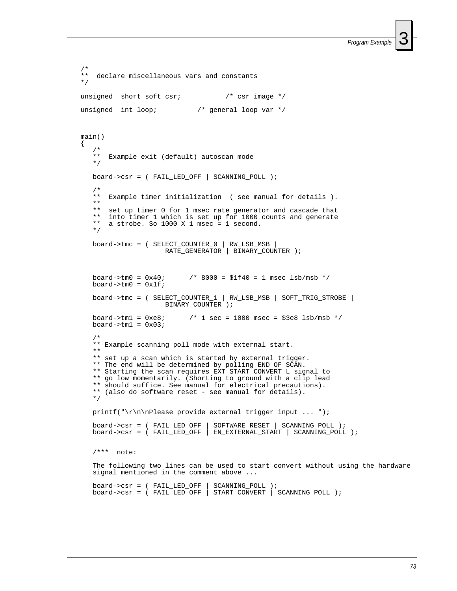```
declare miscellaneous vars and constants
unsigned short soft csr; /* csr image */
unsigned int loop; \frac{1}{2} /* general loop var */
main()
/*
    ** Example exit (default) autoscan mode 
 */
   board-\text{csr} = ( FAIL LED_OFF | SCANNING_POLL );
   / *<br>* *
       Example timer initialization ( see manual for details ).
    **
   ** set up timer 0 for 1 msec rate generator and cascade that<br>** into timer 1 which is set up for 1000 counts and generate
   ** into timer 1 which is set up for 1000 counts and generate
       a strobe. So 1000 \times 1 msec = 1 second.
    */
    board->tmc = ( SELECT_COUNTER_0 | RW_LSB_MSB | 
                      RATE_GENERATOR | BINARY_COUNTER );
   board->tm0 = 0x40; /* 8000 = $1f40 = 1 msec lsb/msb */
   board->tm0 = 0x1f;
    board->tmc = ( SELECT_COUNTER_1 | RW_LSB_MSB | SOFT_TRIG_STROBE | 
                       BINARY_COUNTER );
   board->tml = 0xe8; /* 1 sec = 1000 msec = $3e8 lb/msb */board->tm1 = 0x03;
 /*
    ** Example scanning poll mode with external start. 
    **
    ** set up a scan which is started by external trigger. 
    ** The end will be determined by polling END OF SCAN. 
    ** Starting the scan requires EXT_START_CONVERT_L signal to 
    ** go low momentarily. (Shorting to ground with a clip lead
    ** should suffice. See manual for electrical precautions). 
    ** (also do software reset - see manual for details). 
    */
   printf("\r\n\nPlease provide external trigger input ... ");
 board->csr = ( FAIL_LED_OFF | SOFTWARE_RESET | SCANNING_POLL );
 board->csr = ( FAIL_LED_OFF | EN_EXTERNAL_START | SCANNING_POLL );
    /*** note:
    The following two lines can be used to start convert without using the hardware 
    signal mentioned in the comment above ...
 board->csr = ( FAIL_LED_OFF | SCANNING_POLL ); 
 board->csr = ( FAIL_LED_OFF | START_CONVERT | SCANNING_POLL );
```
/\*

\*/

{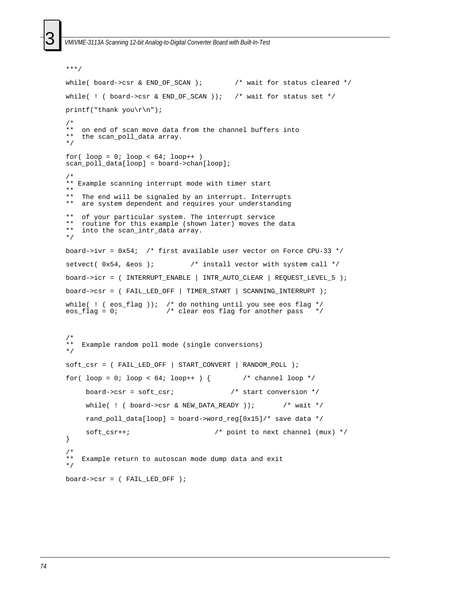```
 ***/
  while( board->csr & END OF_SCAN ); /* wait for status cleared */
  while( ! ( board ->csr & END_OF_SCAN )); /* wait for status set */
  printf("thank you\r\nu");
 /*
   ** on end of scan move data from the channel buffers into<br>** the scan poll data array
      the scan poll data array.
   */
  for(loop = 0; loop < 64; loop++)
   scan_poll_data[loop] = board->chan[loop];
 /*
   ** Example scanning interrupt mode with timer start 
   **
      The end will be signaled by an interrupt. Interrupts
    ** are system dependent and requires your understanding 
    ** of your particular system. The interrupt service 
   ** routine for this example (shown later) moves the data 
  ** into the scan intr data array.
   */
  board->ivr = 0x54; /* first available user vector on Force CPU-33 */
  setvect( 0x54, \&eos ); \qquad \qquad /* install vector with system call */
   board->icr = ( INTERRUPT_ENABLE | INTR_AUTO_CLEAR | REQUEST_LEVEL_5 );
   board->csr = ( FAIL_LED_OFF | TIMER_START | SCANNING_INTERRUPT );
  while( ! ( cos_flag )); /* do nothing until you see eos flag */<br>cos_f lag = 0; /* clear eos flag for another pass */
                            /* clear eos flag for another pass */
 /*
   ** Example random poll mode (single conversions) 
 */
   soft_csr = ( FAIL_LED_OFF | START_CONVERT | RANDOM_POLL );
  for( loop = 0; loop < 64; loop++ ) { \prime * channel loop */
        board->csr = soft_csr; /* start conversion */
        while( ! ( board ->csr & NEW_DATA_READY ) ); /* wait */
        rand_poll_data[loop] = board->word_reg[0x15]/* save data */
        soft_csr++; /* point to next channel (mux) */
   }
 /*
   ** Example return to autoscan mode dump data and exit 
    */
   board->csr = ( FAIL_LED_OFF );
```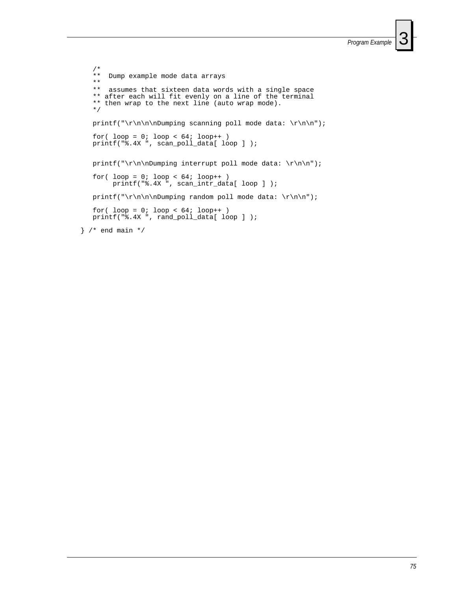```
 /*
    ** Dump example mode data arrays
    **
    ** assumes that sixteen data words with a single space 
    ** after each will fit evenly on a line of the terminal 
    ** then wrap to the next line (auto wrap mode). 
    */
  printf("\r\n\nDumping scanning poll mode data: \r\n\n");
   for( loop = 0; loop < 64; loop++ )
  printf("%.4X", scan_poll_data[ loop ] );
  printf("\r\n\nDumping interrupt poll mode data: \r\n\n");
   for(loop = 0; loop < 64; loop++)
       printf("%.4X ", scan_intr_data[ loop ] );
  printf("\r\n\h\nDumping random poll mode data: \r\n\h\n\h\n\in\mathbb{Z}for( loop = 0; loop < 64; loop++ )
  printf("$.4X ", rand_poll_data[ loop ] );
} /* end main */
```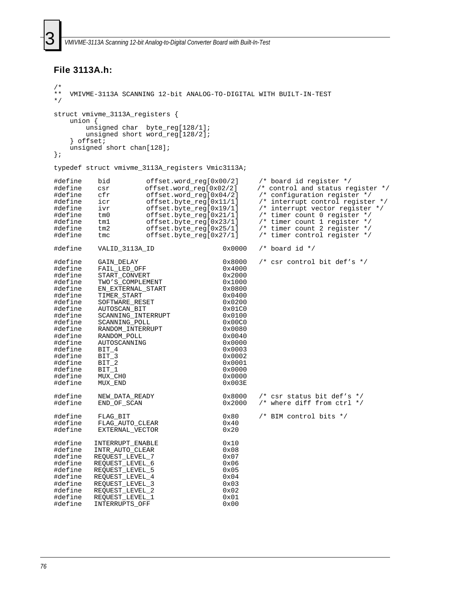## **File 3113A.h:**

```
\overline{**}** VMIVME-3113A SCANNING 12-bit ANALOG-TO-DIGITAL WITH BUILT-IN-TEST
*/
struct vmivme_3113A_registers {
    union {
        unsigned char byte_reg[128/1];
       unsigned short word reg[128/2];
     } offset;
    unsigned short chan[128];
};
typedef struct vmivme_3113A_registers Vmic3113A;
#define bid offset.word_reg[0x00/2] /* board id register */<br>#define csr offset.word_reg[0x02/2] /* control and status re
#define csr offset.word_reg[0x02/2] /* control and status register */<br>#define cfr offset.word_reg[0x04/2] /* configuration register */
#define cfr offset.word_reg[0x04/2] /* configuration register */
#define icr offset.byte_reg[0x11/1] /* interrupt control register */
#define ivr offset.byte_reg[0x19/1] /* interrupt vector register */
#define tm0 offset.byte_reg[0x21/1] /* timer count 0 register */
#define tm1 offset.byte_reg[0x23/1] /* timer count 1 register */
#define tm2 offset.byte_reg[0x25/1] /* timer count 2 register */<br>#define tmc offset.byte_reg[0x27/1] /* timer control register */
          tmc offset.byte_reg[0x27/1] /* timer control register */
#define VALID_3113A_ID 0x0000 /* board id */
#define GAIN_DELAY 0x8000 /* csr control bit def's */
        FAIL\_LED\_OFF#define START_CONVERT<br>#define TWO'S COMPLEMENT 0x1000
#define TWO'S_COMPLEMENT 0x1000
#define EN_EXTERNAL_START 0x0800<br>#define TIMER_START 0x0400
#define TIMER_START 0x0400
#define SOFTWARE_RESET 0x0200<br>#define AUTOSCAN_BIT 0x01C0
#define AUTOSCAN_BIT 0x01C0
          SCANNING_INTERRUPT
#define SCANNING_POLL<br>#define RANDOM_INTERRUPT 0x0080
#define RANDOM_INTERRUPT 0x0080<br>#define RANDOM_POLL 0x0040
#define RANDOM_POLL 0x0040<br>#define AUTOSCANNING 0x0000
          AUTOSCANNING 0 \times 00000<br>BIT_4 0 \times 0003#define
#define BIT_3 0x0002<br>#define BIT_2 0x0001
#define BIT_2 0x0001
#define BIT_1 0x0000<br>#define MUX_CH0 0x0000
#define MUX_CH0 0x0000
          MUX_END
#define NEW_DATA_READY 0x8000 /* csr status bit def's */<br>#define END_OF_SCAN 0x2000 /* where diff from ctrl */
                                                  /* where diff from ctrl */
#define FLAG_BIT 0x80 /* BIM control bits */<br>#define FLAG_AUTO_CLEAR 0x40 0x40
#define FLAG_AUTO_CLEAR 0x40
         EXTERNAL VECTOR
#define INTERRUPT_ENABLE 0x10
#define INTR_AUTO_CLEAR 0x08
         \begin{array}{ccc}\n\texttt{REQUEST\_LEVEL\_7} & \hspace*{1.5cm} 0 \times 07 \\
\texttt{REOUEST\_LEVEL} & 6 & 0 \times 06\n\end{array}#define REQUEST_LEVEL_6
#define REQUEST_LEVEL_5 0x05
#define REQUEST_LEVEL_4 0x04
#define REQUEST_LEVEL_3 0x03
#define REQUEST_LEVEL_2 0x02
#define REQUEST_LEVEL_1 0x01
#define INTERRUPTS_OFF 0x00
```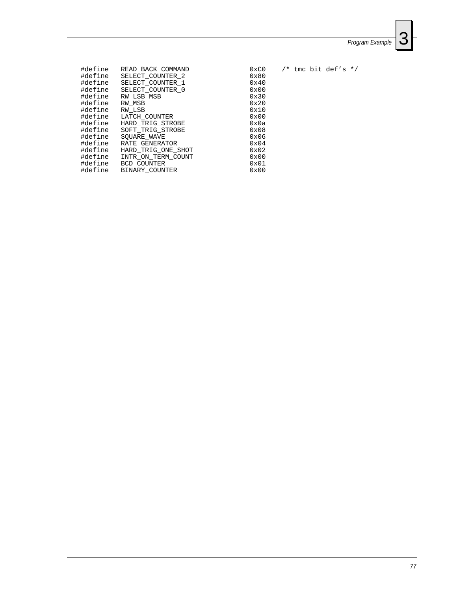| #define | READ BACK COMMAND  | 0xC0          |  | $/*$ tmc bit def's $*/$ |  |
|---------|--------------------|---------------|--|-------------------------|--|
| #define | SELECT COUNTER 2   | 0x80          |  |                         |  |
| #define | SELECT COUNTER 1   | $0 \times 40$ |  |                         |  |
| #define | SELECT COUNTER 0   | 0x00          |  |                         |  |
| #define | RW LSB MSB         | $0 \times 30$ |  |                         |  |
| #define | RW MSB             | 0x20          |  |                         |  |
| #define | RW LSB             | 0x10          |  |                         |  |
| #define | LATCH COUNTER      | 0x00          |  |                         |  |
| #define | HARD TRIG STROBE   | 0x0a          |  |                         |  |
| #define | SOFT TRIG STROBE   | 0x08          |  |                         |  |
| #define | SOUARE WAVE        | 0x06          |  |                         |  |
| #define | RATE GENERATOR     | $0 \times 04$ |  |                         |  |
| #define | HARD TRIG ONE SHOT | 0x02          |  |                         |  |
| #define | INTR ON TERM COUNT | 0x00          |  |                         |  |
| #define | BCD COUNTER        | 0x01          |  |                         |  |
| #define | BINARY COUNTER     | 0x00          |  |                         |  |
|         |                    |               |  |                         |  |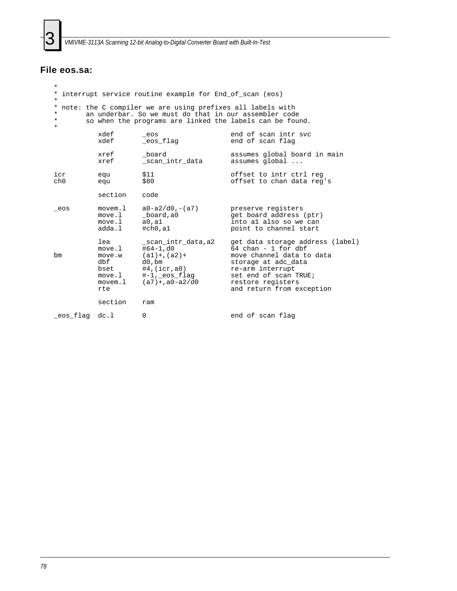**File eos.sa:**

```
*
* interrupt service routine example for End_of_scan (eos) 
*
* note: the C compiler we are using prefixes all labels with
* an underbar. So we must do that in our assembler code
       so when the programs are linked the labels can be found.
*
           xdef _eos end of scan intr svc
           xdef _eos_flag end of scan flag
           xref _board assumes global board in main
           xref _scan_intr_data assumes global ...
icr equ $11 offset to intr ctrl reg<br>
ch0 equ $80 offset to chan data req
          equ $80 offset to chan data reg's
           section code
_eos movem.l a0-a2/d0,-(a7) preserve registers
           move.l _board,a0 get board address (ptr)
          move.1 a0, a1 into a1 also so we can<br>adda.1 #ch0, a1 point to channel start
                                         point to channel start
           lea _scan_intr_data,a2 get data storage address (label)
          move.1 \overline{4}64-1, \overline{4}0 \overline{6}4 chan - 1 for dbf<br>move.w (a1)+, (a2)+ move channel data to
bm move.w (a1)+,(a2)+ move channel data to data<br>dbf d0,bm storage at adc data
           dbf d0,bm storage at adc_data
                                         re-arm interrupt
          move.1 #-1,_eos_flag set end of scan TRUE;<br>movem.1 (a7)+,a0-a2/d0 restore registers
                                         restore registers
           rte and return from exception
           section ram
eos_flag dc.1 0 end of scan flag
```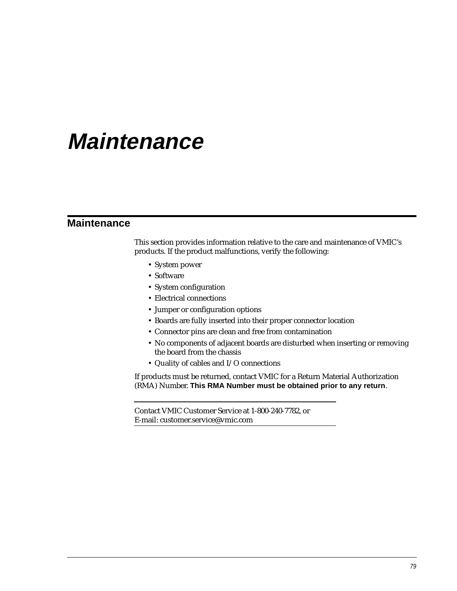## **Maintenance**

## **Maintenance**

This section provides information relative to the care and maintenance of VMIC's products. If the product malfunctions, verify the following:

- System power
- Software
- System configuration
- Electrical connections
- Jumper or configuration options
- Boards are fully inserted into their proper connector location
- Connector pins are clean and free from contamination
- No components of adjacent boards are disturbed when inserting or removing the board from the chassis
- Quality of cables and I/O connections

If products must be returned, contact VMIC for a Return Material Authorization (RMA) Number. **This RMA Number must be obtained prior to any return**.

Contact VMIC Customer Service at 1-800-240-7782, or E-mail: customer.service@vmic.com